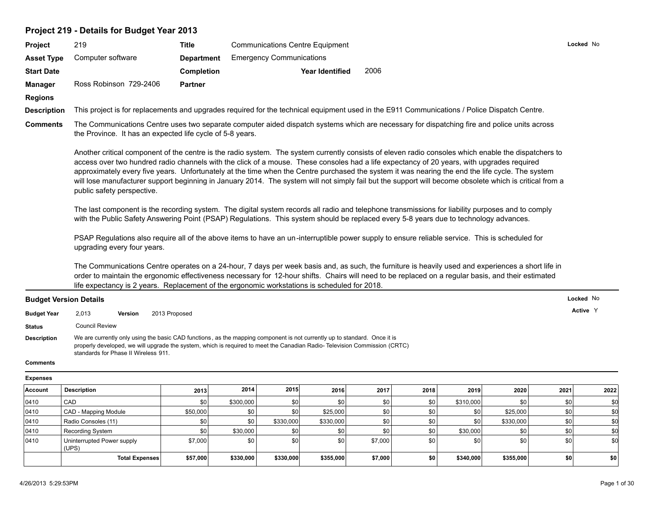## **Project 219 - Details for Budget Year 2013**

| <b>Project</b>                | 219                                                                                                                                                                                                                                                                                                                                                                                                                                                                                                                                                                                                                                             | <b>Title</b>      | <b>Communications Centre Equipment</b>                                                       |                                                                                                                                                                                                                                                                                                           | Locked No |  |  |  |  |
|-------------------------------|-------------------------------------------------------------------------------------------------------------------------------------------------------------------------------------------------------------------------------------------------------------------------------------------------------------------------------------------------------------------------------------------------------------------------------------------------------------------------------------------------------------------------------------------------------------------------------------------------------------------------------------------------|-------------------|----------------------------------------------------------------------------------------------|-----------------------------------------------------------------------------------------------------------------------------------------------------------------------------------------------------------------------------------------------------------------------------------------------------------|-----------|--|--|--|--|
| <b>Asset Type</b>             | Computer software                                                                                                                                                                                                                                                                                                                                                                                                                                                                                                                                                                                                                               | <b>Department</b> | <b>Emergency Communications</b>                                                              |                                                                                                                                                                                                                                                                                                           |           |  |  |  |  |
| <b>Start Date</b>             |                                                                                                                                                                                                                                                                                                                                                                                                                                                                                                                                                                                                                                                 | <b>Completion</b> | <b>Year Identified</b>                                                                       | 2006                                                                                                                                                                                                                                                                                                      |           |  |  |  |  |
| <b>Manager</b>                | Ross Robinson 729-2406                                                                                                                                                                                                                                                                                                                                                                                                                                                                                                                                                                                                                          | <b>Partner</b>    |                                                                                              |                                                                                                                                                                                                                                                                                                           |           |  |  |  |  |
| <b>Regions</b>                |                                                                                                                                                                                                                                                                                                                                                                                                                                                                                                                                                                                                                                                 |                   |                                                                                              |                                                                                                                                                                                                                                                                                                           |           |  |  |  |  |
| <b>Description</b>            |                                                                                                                                                                                                                                                                                                                                                                                                                                                                                                                                                                                                                                                 |                   |                                                                                              | This project is for replacements and upgrades required for the technical equipment used in the E911 Communications / Police Dispatch Centre.                                                                                                                                                              |           |  |  |  |  |
| <b>Comments</b>               | The Communications Centre uses two separate computer aided dispatch systems which are necessary for dispatching fire and police units across<br>the Province. It has an expected life cycle of 5-8 years.                                                                                                                                                                                                                                                                                                                                                                                                                                       |                   |                                                                                              |                                                                                                                                                                                                                                                                                                           |           |  |  |  |  |
|                               | Another critical component of the centre is the radio system. The system currently consists of eleven radio consoles which enable the dispatchers to<br>access over two hundred radio channels with the click of a mouse. These consoles had a life expectancy of 20 years, with upgrades required<br>approximately every five years. Unfortunately at the time when the Centre purchased the system it was nearing the end the life cycle. The system<br>will lose manufacturer support beginning in January 2014. The system will not simply fail but the support will become obsolete which is critical from a<br>public safety perspective. |                   |                                                                                              |                                                                                                                                                                                                                                                                                                           |           |  |  |  |  |
|                               |                                                                                                                                                                                                                                                                                                                                                                                                                                                                                                                                                                                                                                                 |                   |                                                                                              | The last component is the recording system. The digital system records all radio and telephone transmissions for liability purposes and to comply<br>with the Public Safety Answering Point (PSAP) Regulations. This system should be replaced every 5-8 years due to technology advances.                |           |  |  |  |  |
|                               | PSAP Regulations also require all of the above items to have an un-interruptible power supply to ensure reliable service. This is scheduled for<br>upgrading every four years.                                                                                                                                                                                                                                                                                                                                                                                                                                                                  |                   |                                                                                              |                                                                                                                                                                                                                                                                                                           |           |  |  |  |  |
|                               |                                                                                                                                                                                                                                                                                                                                                                                                                                                                                                                                                                                                                                                 |                   | life expectancy is 2 years. Replacement of the ergonomic workstations is scheduled for 2018. | The Communications Centre operates on a 24-hour, 7 days per week basis and, as such, the furniture is heavily used and experiences a short life in<br>order to maintain the ergonomic effectiveness necessary for 12-hour shifts. Chairs will need to be replaced on a regular basis, and their estimated |           |  |  |  |  |
| <b>Budget Version Details</b> |                                                                                                                                                                                                                                                                                                                                                                                                                                                                                                                                                                                                                                                 |                   |                                                                                              |                                                                                                                                                                                                                                                                                                           | Locked No |  |  |  |  |

## **Budget Version Details**

| <b>Budget Year</b> | 2,013                 | Version                              | 2013 Proposed                                                                                                                                                                                                                                          | Active Y |
|--------------------|-----------------------|--------------------------------------|--------------------------------------------------------------------------------------------------------------------------------------------------------------------------------------------------------------------------------------------------------|----------|
| Status             | <b>Council Review</b> |                                      |                                                                                                                                                                                                                                                        |          |
| <b>Description</b> |                       | standards for Phase II Wireless 911. | We are currently only using the basic CAD functions, as the mapping component is not currently up to standard. Once it is<br>properly developed, we will upgrade the system, which is required to meet the Canadian Radio-Television Commission (CRTC) |          |
| <b>Comments</b>    |                       |                                      |                                                                                                                                                                                                                                                        |          |

#### **Expenses**

| Account | <b>Description</b>                  | 2013             | 2014      | 2015      | 2016      | 2017    | 2018       | 2019      | 2020      | 2021 | 2022 |
|---------|-------------------------------------|------------------|-----------|-----------|-----------|---------|------------|-----------|-----------|------|------|
| 0410    | <sup>'</sup> CAD                    | \$0              | \$300,000 | \$0       | \$0       | -\$0 l  | \$0        | \$310,000 |           | \$0  |      |
| 0410    | CAD - Mapping Module                | \$50,000         | \$0       |           | \$25,000  | -\$0 l  | \$0        | \$0       | \$25,000  |      |      |
| 0410    | Radio Consoles (11)                 | \$0              | \$0       | \$330,000 | \$330,000 | \$0     | \$0        | \$0       | \$330,000 | \$0  |      |
| 0410    | Recording System                    | \$0 <sub>1</sub> | \$30,000  |           |           | -\$0 l  | \$0        | \$30,000  |           |      |      |
| 0410    | Uninterrupted Power supply<br>(UPS) | \$7,000          | \$0       | \$0       | \$0       | \$7,000 | \$0        |           |           | \$0  | \$0  |
|         | <b>Total Expenses</b>               | \$57,000         | \$330,000 | \$330,000 | \$355,000 | \$7,000 | <b>\$0</b> | \$340,000 | \$355,000 | \$0  | \$0  |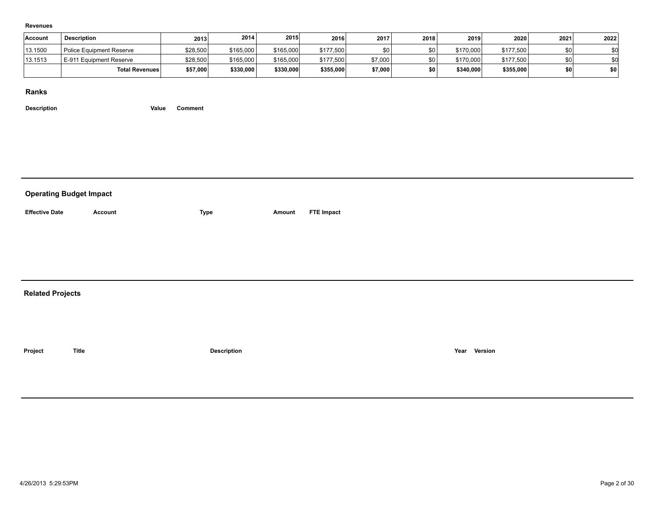#### **Revenues**

| <b>Account</b> | <b>Description</b>              | 2013     | 2014      | 2015      | 2016      | 2017    | 2018 | 2019      | 2020      | 2021 | 2022 |
|----------------|---------------------------------|----------|-----------|-----------|-----------|---------|------|-----------|-----------|------|------|
| 13.1500        | <b>Police Equipment Reserve</b> | \$28,500 | \$165,000 | \$165,000 | \$177,500 |         | \$0  | \$170,000 | \$177,500 |      |      |
| 13.1513        | E-911 Equipment Reserve         | \$28,500 | \$165,000 | \$165,000 | \$177,500 | \$7,000 | \$0  | \$170,000 | \$177,500 |      |      |
|                | <b>Total Revenues</b>           | \$57,000 | \$330,000 | \$330,000 | \$355,000 | \$7,000 | \$0  | \$340,000 | \$355,000 |      | \$0  |

**Ranks**

|                         | <b>Operating Budget Impact</b> |                    |        |                   |      |         |  |  |  |  |  |  |  |  |
|-------------------------|--------------------------------|--------------------|--------|-------------------|------|---------|--|--|--|--|--|--|--|--|
| <b>Effective Date</b>   | <b>Account</b>                 | <b>Type</b>        | Amount | <b>FTE Impact</b> |      |         |  |  |  |  |  |  |  |  |
|                         |                                |                    |        |                   |      |         |  |  |  |  |  |  |  |  |
|                         |                                |                    |        |                   |      |         |  |  |  |  |  |  |  |  |
|                         |                                |                    |        |                   |      |         |  |  |  |  |  |  |  |  |
| <b>Related Projects</b> |                                |                    |        |                   |      |         |  |  |  |  |  |  |  |  |
|                         |                                |                    |        |                   |      |         |  |  |  |  |  |  |  |  |
|                         |                                |                    |        |                   |      |         |  |  |  |  |  |  |  |  |
| Project                 | <b>Title</b>                   | <b>Description</b> |        |                   | Year | Version |  |  |  |  |  |  |  |  |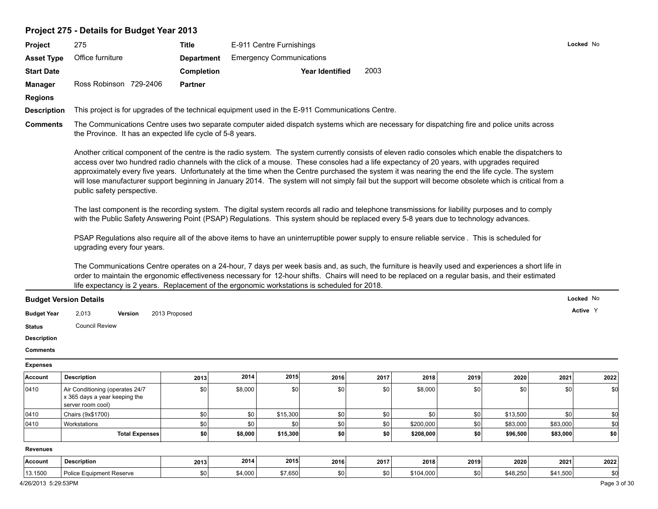## **Project 275 - Details for Budget Year 2013**

| <b>Project</b>                | 275                                                       | Title             | E-911 Centre Furnishings                                                                         |                                                                                                                                                                                                                                                                                                                                                                                                                                                                                                                                                                                                                   | Locked No |
|-------------------------------|-----------------------------------------------------------|-------------------|--------------------------------------------------------------------------------------------------|-------------------------------------------------------------------------------------------------------------------------------------------------------------------------------------------------------------------------------------------------------------------------------------------------------------------------------------------------------------------------------------------------------------------------------------------------------------------------------------------------------------------------------------------------------------------------------------------------------------------|-----------|
| <b>Asset Type</b>             | Office furniture                                          | <b>Department</b> | <b>Emergency Communications</b>                                                                  |                                                                                                                                                                                                                                                                                                                                                                                                                                                                                                                                                                                                                   |           |
| <b>Start Date</b>             |                                                           | Completion        | <b>Year Identified</b>                                                                           | 2003                                                                                                                                                                                                                                                                                                                                                                                                                                                                                                                                                                                                              |           |
| <b>Manager</b>                | Ross Robinson 729-2406                                    | <b>Partner</b>    |                                                                                                  |                                                                                                                                                                                                                                                                                                                                                                                                                                                                                                                                                                                                                   |           |
| <b>Regions</b>                |                                                           |                   |                                                                                                  |                                                                                                                                                                                                                                                                                                                                                                                                                                                                                                                                                                                                                   |           |
| <b>Description</b>            |                                                           |                   | This project is for upgrades of the technical equipment used in the E-911 Communications Centre. |                                                                                                                                                                                                                                                                                                                                                                                                                                                                                                                                                                                                                   |           |
| <b>Comments</b>               | the Province. It has an expected life cycle of 5-8 years. |                   |                                                                                                  | The Communications Centre uses two separate computer aided dispatch systems which are necessary for dispatching fire and police units across                                                                                                                                                                                                                                                                                                                                                                                                                                                                      |           |
|                               | public safety perspective.                                |                   |                                                                                                  | Another critical component of the centre is the radio system. The system currently consists of eleven radio consoles which enable the dispatchers to<br>access over two hundred radio channels with the click of a mouse. These consoles had a life expectancy of 20 years, with upgrades required<br>approximately every five years. Unfortunately at the time when the Centre purchased the system it was nearing the end the life cycle. The system<br>will lose manufacturer support beginning in January 2014. The system will not simply fail but the support will become obsolete which is critical from a |           |
|                               |                                                           |                   |                                                                                                  | The last component is the recording system. The digital system records all radio and telephone transmissions for liability purposes and to comply<br>with the Public Safety Answering Point (PSAP) Regulations. This system should be replaced every 5-8 years due to technology advances.                                                                                                                                                                                                                                                                                                                        |           |
|                               | upgrading every four years.                               |                   |                                                                                                  | PSAP Regulations also require all of the above items to have an uninterruptible power supply to ensure reliable service. This is scheduled for                                                                                                                                                                                                                                                                                                                                                                                                                                                                    |           |
|                               |                                                           |                   | life expectancy is 2 years. Replacement of the ergonomic workstations is scheduled for 2018.     | The Communications Centre operates on a 24-hour, 7 days per week basis and, as such, the furniture is heavily used and experiences a short life in<br>order to maintain the ergonomic effectiveness necessary for 12-hour shifts. Chairs will need to be replaced on a regular basis, and their estimated                                                                                                                                                                                                                                                                                                         |           |
| <b>Budget Version Details</b> |                                                           |                   |                                                                                                  |                                                                                                                                                                                                                                                                                                                                                                                                                                                                                                                                                                                                                   | Locked No |
| <b>Budget Year</b>            | 2,013<br>2013 Proposed<br>Version                         |                   |                                                                                                  |                                                                                                                                                                                                                                                                                                                                                                                                                                                                                                                                                                                                                   | Active Y  |
| <b>Status</b>                 | <b>Council Review</b>                                     |                   |                                                                                                  |                                                                                                                                                                                                                                                                                                                                                                                                                                                                                                                                                                                                                   |           |
| <b>Description</b>            |                                                           |                   |                                                                                                  |                                                                                                                                                                                                                                                                                                                                                                                                                                                                                                                                                                                                                   |           |
| <b>Comments</b>               |                                                           |                   |                                                                                                  |                                                                                                                                                                                                                                                                                                                                                                                                                                                                                                                                                                                                                   |           |
| <b>Expenses</b>               |                                                           |                   |                                                                                                  |                                                                                                                                                                                                                                                                                                                                                                                                                                                                                                                                                                                                                   |           |

| Account         | <b>Description</b>                                                                    | 2013             | 2014    | 2015     | 2016       | 2017 | 2018      | 2019 | 2020     | 2021     | 2022 |
|-----------------|---------------------------------------------------------------------------------------|------------------|---------|----------|------------|------|-----------|------|----------|----------|------|
| 0410            | Air Conditioning (operates 24/7<br>x 365 days a year keeping the<br>server room cool) | \$0 <sub>1</sub> | \$8,000 | \$C      | \$0        | \$0  | \$8,000   | \$0  | \$0      | \$0      | \$0  |
| 0410            | Chairs (9x\$1700)                                                                     | \$0 <sub>1</sub> | \$0     | \$15,300 | \$0        | \$0  | \$0       | \$0  | \$13,500 | \$0      |      |
| 0410            | Workstations                                                                          | \$0 <sub>1</sub> | \$0     |          | \$0        | \$0  | \$200,000 | \$0  | \$83,000 | \$83,000 |      |
|                 | <b>Total Expenses</b>                                                                 | \$0              | \$8,000 | \$15,300 | <b>\$0</b> | \$0  | \$208,000 | \$0  | \$96,500 | \$83,000 | \$0  |
| <b>Revenues</b> |                                                                                       |                  |         |          |            |      |           |      |          |          |      |
| Account         | <b>Description</b>                                                                    | 2013             | 2014    | 2015     | 2016       | 2017 | 2018      | 2019 | 2020     | 2021     | 2022 |
| 13.1500         | <b>Police Equipment Reserve</b>                                                       | \$0 <sub>1</sub> | \$4,000 | \$7,650  | \$0        | \$0  | \$104,000 | \$0  | \$48,250 | \$41,500 |      |

4/26/2013 5:29:53PM Page 3 of 30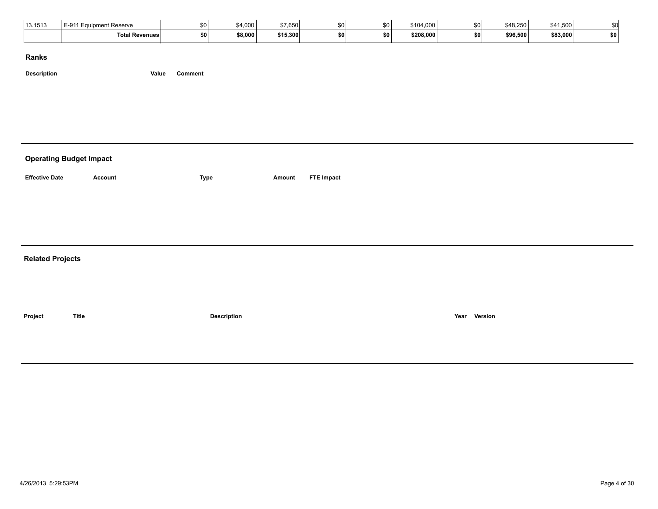| 13.1513 | E-911 Ear<br><b>Equipment Reserve</b> | \$0 l     | \$4,000 | 27.25<br>: 51<br>ມບບບ | $\sim$ |    | \$104,000 | cΩ.       | \$48,250 | \$41,500 |           |
|---------|---------------------------------------|-----------|---------|-----------------------|--------|----|-----------|-----------|----------|----------|-----------|
|         | <b>Total Revenues</b>                 | <b>SO</b> | \$8,000 | \$15,300              | ا SO   | œп | \$208,000 | <b>SO</b> | \$96,500 | \$83,000 | <b>SO</b> |

**Description Value Comment**

# **Operating Budget Impact Effective Date Account Type Amount FTE Impact Related Projects Project Title Description Year Version**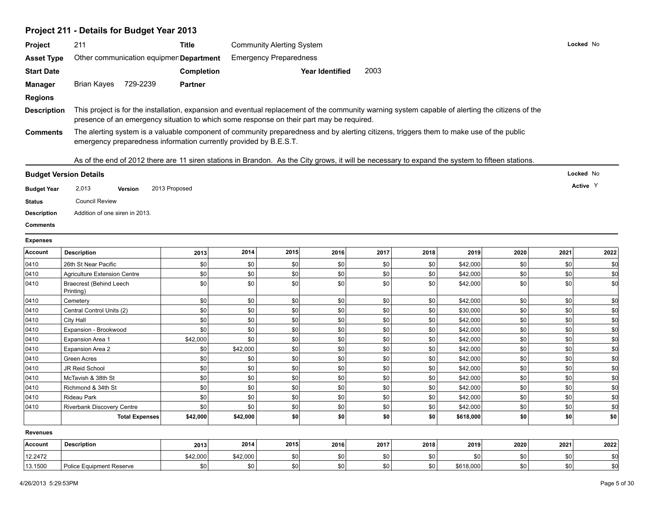# **Project 211 - Details for Budget Year 2013**

| Project            | 211                                                                                                                                                                                                          | <b>Title</b>      |          | <b>Community Alerting System</b> |                        |       |      |           |      |      | Locked No |
|--------------------|--------------------------------------------------------------------------------------------------------------------------------------------------------------------------------------------------------------|-------------------|----------|----------------------------------|------------------------|-------|------|-----------|------|------|-----------|
| <b>Asset Type</b>  | Other communication equipmen Department                                                                                                                                                                      |                   |          | <b>Emergency Preparedness</b>    |                        |       |      |           |      |      |           |
| <b>Start Date</b>  |                                                                                                                                                                                                              | <b>Completion</b> |          |                                  | <b>Year Identified</b> | 2003  |      |           |      |      |           |
| <b>Manager</b>     | Brian Kayes 729-2239                                                                                                                                                                                         | <b>Partner</b>    |          |                                  |                        |       |      |           |      |      |           |
| <b>Regions</b>     |                                                                                                                                                                                                              |                   |          |                                  |                        |       |      |           |      |      |           |
| <b>Description</b> | This project is for the installation, expansion and eventual replacement of the community warning system capable of alerting the citizens of the                                                             |                   |          |                                  |                        |       |      |           |      |      |           |
|                    | presence of an emergency situation to which some response on their part may be required.                                                                                                                     |                   |          |                                  |                        |       |      |           |      |      |           |
| <b>Comments</b>    | The alerting system is a valuable component of community preparedness and by alerting citizens, triggers them to make use of the public<br>emergency preparedness information currently provided by B.E.S.T. |                   |          |                                  |                        |       |      |           |      |      |           |
|                    | As of the end of 2012 there are 11 siren stations in Brandon. As the City grows, it will be necessary to expand the system to fifteen stations.                                                              |                   |          |                                  |                        |       |      |           |      |      |           |
|                    | <b>Budget Version Details</b>                                                                                                                                                                                |                   |          |                                  |                        |       |      |           |      |      | Locked No |
| <b>Budget Year</b> | 2,013<br><b>Version</b>                                                                                                                                                                                      | 2013 Proposed     |          |                                  |                        |       |      |           |      |      | Active Y  |
| <b>Status</b>      | <b>Council Review</b>                                                                                                                                                                                        |                   |          |                                  |                        |       |      |           |      |      |           |
| <b>Description</b> | Addition of one siren in 2013.                                                                                                                                                                               |                   |          |                                  |                        |       |      |           |      |      |           |
| <b>Comments</b>    |                                                                                                                                                                                                              |                   |          |                                  |                        |       |      |           |      |      |           |
| <b>Expenses</b>    |                                                                                                                                                                                                              |                   |          |                                  |                        |       |      |           |      |      |           |
| Account            | <b>Description</b>                                                                                                                                                                                           | 2013              | 2014     | 2015                             | 2016                   | 2017  | 2018 | 2019      | 2020 | 2021 | 2022      |
| 0410               | 26th St Near Pacific                                                                                                                                                                                         | \$0               | \$0      | \$0                              | \$0                    | \$0   | \$0  | \$42,000  | \$0  | \$0  | \$0       |
| 0410               | <b>Agriculture Extension Centre</b>                                                                                                                                                                          | $\$0$             | \$0      | \$0                              | \$0                    | \$0   | \$0  | \$42,000  | \$0  | \$0  | \$d       |
| 0410               | <b>Braecrest (Behind Leech</b><br>Printing)                                                                                                                                                                  | \$0               | \$0      | \$0                              | \$0                    | \$0   | \$0  | \$42,000  | \$0  | 30   | \$d       |
| 0410               | Cemetery                                                                                                                                                                                                     | \$0               | \$0      | \$0                              | \$0                    | \$0   | \$0  | \$42,000  | \$0  | 30   | \$d       |
| 0410               | Central Control Units (2)                                                                                                                                                                                    | \$0               | \$0      | \$0                              | \$0                    | \$0   | \$0  | \$30,000  | \$0  | 50   | \$d       |
| 0410               | City Hall                                                                                                                                                                                                    | $\$0$             | \$0      | \$0                              | \$0                    | $$0$$ | \$0  | \$42,000  | \$0  | \$0  | \$d       |
| 0410               | Expansion - Brookwood                                                                                                                                                                                        | \$0               | \$0      | \$0                              | \$0                    | \$0   | \$0  | \$42,000  | \$0  | 30   | \$d       |
| 0410               | <b>Expansion Area 1</b>                                                                                                                                                                                      | \$42,000          | \$0      | \$0                              | \$0                    | \$0   | \$0  | \$42,000  | \$0  | 30   | \$d       |
| 0410               | <b>Expansion Area 2</b>                                                                                                                                                                                      | \$0               | \$42,000 | \$0                              | \$0                    | \$0   | \$0  | \$42,000  | \$0  | \$0  | \$d       |
| 0410               | Green Acres                                                                                                                                                                                                  | \$0               | \$0      | \$0                              | \$0                    | \$0   | \$0  | \$42,000  | \$0  | 30   | \$d       |
| 0410               | JR Reid School                                                                                                                                                                                               | \$0               | \$0      | \$0                              | \$0                    | \$0   | \$0  | \$42,000  | \$0  | 30   | \$d       |
| 0410               | McTavish & 38th St                                                                                                                                                                                           | \$0               | \$0      | \$0                              | \$0                    | \$0   | \$0  | \$42,000  | \$0  | \$0  | \$d       |
| 0410               | Richmond & 34th St                                                                                                                                                                                           | \$0               | \$0      | \$0                              | \$0                    | \$0   | \$0  | \$42,000  | \$0  | 30   | \$d       |
| 0410               | Rideau Park                                                                                                                                                                                                  | \$0               | \$0      | \$0                              | \$0                    | \$0   | \$0  | \$42,000  | \$0  | 30   | \$d       |
| 0410               | Riverbank Discovery Centre                                                                                                                                                                                   | \$0               | \$0      | \$0                              | \$0                    | \$0   | \$0  | \$42,000  | \$0  | \$0  | \$d       |
|                    | <b>Total Expenses</b>                                                                                                                                                                                        | \$42,000          | \$42,000 | \$0                              | \$0                    | \$0   | \$0  | \$618,000 | \$0  | \$0  | \$0       |
| <b>Revenues</b>    |                                                                                                                                                                                                              |                   |          |                                  |                        |       |      |           |      |      |           |
| <b>Account</b>     | <b>Description</b>                                                                                                                                                                                           | 2013              | 2014     | 2015                             | 2016                   | 2017  | 2018 | 2019      | 2020 | 2021 | 2022      |
| 12.2472            |                                                                                                                                                                                                              | \$42,000          | \$42,000 | \$0                              | \$0                    | \$0   | \$0  | \$0       | \$0  | \$0  | \$0       |
| 13.1500            | <b>Police Equipment Reserve</b>                                                                                                                                                                              | \$0               | \$0      | \$0                              | \$0                    | \$0   | \$0  | \$618,000 | \$0  | sol  | \$d       |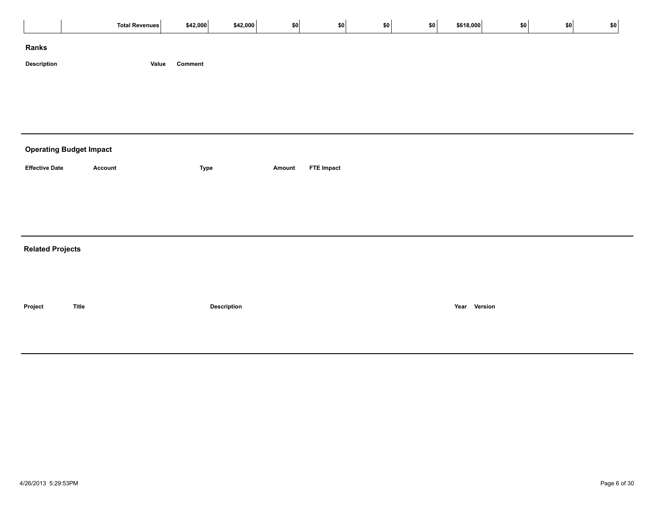|                         | Total Revenues                 | \$42,000         | \$42,000           | \$0    | \$0               | \$0 | $ $ \$0 | \$618,000    | \$0 | \$0 | \$0 |  |
|-------------------------|--------------------------------|------------------|--------------------|--------|-------------------|-----|---------|--------------|-----|-----|-----|--|
| Ranks                   |                                |                  |                    |        |                   |     |         |              |     |     |     |  |
| Description             |                                | Comment<br>Value |                    |        |                   |     |         |              |     |     |     |  |
|                         |                                |                  |                    |        |                   |     |         |              |     |     |     |  |
|                         |                                |                  |                    |        |                   |     |         |              |     |     |     |  |
|                         |                                |                  |                    |        |                   |     |         |              |     |     |     |  |
|                         | <b>Operating Budget Impact</b> |                  |                    |        |                   |     |         |              |     |     |     |  |
| <b>Effective Date</b>   | Account                        | <b>Type</b>      |                    | Amount | <b>FTE Impact</b> |     |         |              |     |     |     |  |
|                         |                                |                  |                    |        |                   |     |         |              |     |     |     |  |
|                         |                                |                  |                    |        |                   |     |         |              |     |     |     |  |
|                         |                                |                  |                    |        |                   |     |         |              |     |     |     |  |
| <b>Related Projects</b> |                                |                  |                    |        |                   |     |         |              |     |     |     |  |
|                         |                                |                  |                    |        |                   |     |         |              |     |     |     |  |
|                         |                                |                  |                    |        |                   |     |         |              |     |     |     |  |
| Project                 | <b>Title</b>                   |                  | <b>Description</b> |        |                   |     |         | Year Version |     |     |     |  |
|                         |                                |                  |                    |        |                   |     |         |              |     |     |     |  |
|                         |                                |                  |                    |        |                   |     |         |              |     |     |     |  |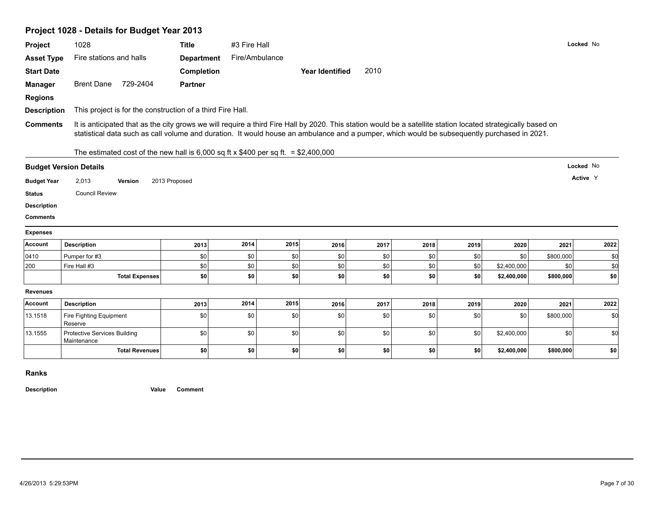# **Project 1028 - Details for Budget Year 2013**

| Project                       |                                                                                                                                                                                                                                                                                                             |                   |                |      |                        |                |      |      |             |           |           |
|-------------------------------|-------------------------------------------------------------------------------------------------------------------------------------------------------------------------------------------------------------------------------------------------------------------------------------------------------------|-------------------|----------------|------|------------------------|----------------|------|------|-------------|-----------|-----------|
|                               | 1028                                                                                                                                                                                                                                                                                                        | <b>Title</b>      | #3 Fire Hall   |      |                        |                |      |      |             |           | Locked No |
| <b>Asset Type</b>             | Fire stations and halls                                                                                                                                                                                                                                                                                     | <b>Department</b> | Fire/Ambulance |      |                        |                |      |      |             |           |           |
| <b>Start Date</b>             |                                                                                                                                                                                                                                                                                                             | <b>Completion</b> |                |      | <b>Year Identified</b> | 2010           |      |      |             |           |           |
| <b>Manager</b>                | <b>Brent Dane</b><br>729-2404                                                                                                                                                                                                                                                                               | <b>Partner</b>    |                |      |                        |                |      |      |             |           |           |
| <b>Regions</b>                |                                                                                                                                                                                                                                                                                                             |                   |                |      |                        |                |      |      |             |           |           |
| <b>Description</b>            | This project is for the construction of a third Fire Hall.                                                                                                                                                                                                                                                  |                   |                |      |                        |                |      |      |             |           |           |
| <b>Comments</b>               | It is anticipated that as the city grows we will require a third Fire Hall by 2020. This station would be a satellite station located strategically based on<br>statistical data such as call volume and duration. It would house an ambulance and a pumper, which would be subsequently purchased in 2021. |                   |                |      |                        |                |      |      |             |           |           |
|                               | The estimated cost of the new hall is 6,000 sq ft x \$400 per sq ft. = \$2,400,000                                                                                                                                                                                                                          |                   |                |      |                        |                |      |      |             |           |           |
| <b>Budget Version Details</b> |                                                                                                                                                                                                                                                                                                             |                   |                |      |                        |                |      |      |             |           | Locked No |
| <b>Budget Year</b>            | 2,013<br>Version                                                                                                                                                                                                                                                                                            | 2013 Proposed     |                |      |                        |                |      |      |             |           | Active Y  |
| <b>Status</b>                 | <b>Council Review</b>                                                                                                                                                                                                                                                                                       |                   |                |      |                        |                |      |      |             |           |           |
| <b>Description</b>            |                                                                                                                                                                                                                                                                                                             |                   |                |      |                        |                |      |      |             |           |           |
|                               |                                                                                                                                                                                                                                                                                                             |                   |                |      |                        |                |      |      |             |           |           |
| <b>Comments</b>               |                                                                                                                                                                                                                                                                                                             |                   |                |      |                        |                |      |      |             |           |           |
| <b>Expenses</b>               |                                                                                                                                                                                                                                                                                                             |                   |                |      |                        |                |      |      |             |           |           |
| Account                       | <b>Description</b>                                                                                                                                                                                                                                                                                          | 2013              | 2014           | 2015 | 2016                   | 2017           | 2018 | 2019 | 2020        | 2021      | 2022      |
| 0410                          | Pumper for #3                                                                                                                                                                                                                                                                                               | \$0               | \$0            | \$0  | \$0                    | \$0            | \$0  | \$0  | \$0         | \$800,000 | \$0       |
| 200                           | Fire Hall #3                                                                                                                                                                                                                                                                                                | \$0               | \$0            | \$0  | \$0                    | \$0            | \$0  | \$0  | \$2,400,000 | \$0       | \$d       |
|                               | <b>Total Expenses</b>                                                                                                                                                                                                                                                                                       | \$0               | \$0            | \$0  | \$0                    | \$0            | \$0  | \$0  | \$2,400,000 | \$800,000 | \$0       |
| <b>Revenues</b>               |                                                                                                                                                                                                                                                                                                             |                   |                |      |                        |                |      |      |             |           |           |
| Account                       | <b>Description</b>                                                                                                                                                                                                                                                                                          | 2013              | 2014           | 2015 | 2016                   | 2017           | 2018 | 2019 | 2020        | 2021      | 2022      |
| 13.1518                       | Fire Fighting Equipment<br>Reserve                                                                                                                                                                                                                                                                          | \$0               | \$0            | \$0  | \$0                    | \$0            | \$0  | \$0  | \$0         | \$800,000 | \$0       |
| 13.1555                       | <b>Protective Services Building</b><br>Maintenance                                                                                                                                                                                                                                                          | \$0               | \$0            | \$0  | \$0                    | $\frac{1}{20}$ | \$0  | \$0  | \$2,400,000 | \$0       | \$d       |

**Ranks**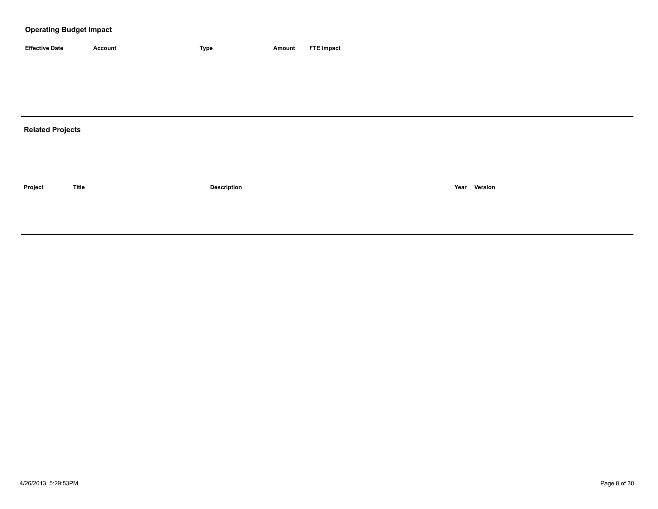| <b>Effective Date</b> | Account | 'vpe | Amount | <b>FTE Impact</b> |
|-----------------------|---------|------|--------|-------------------|

## **Related Projects**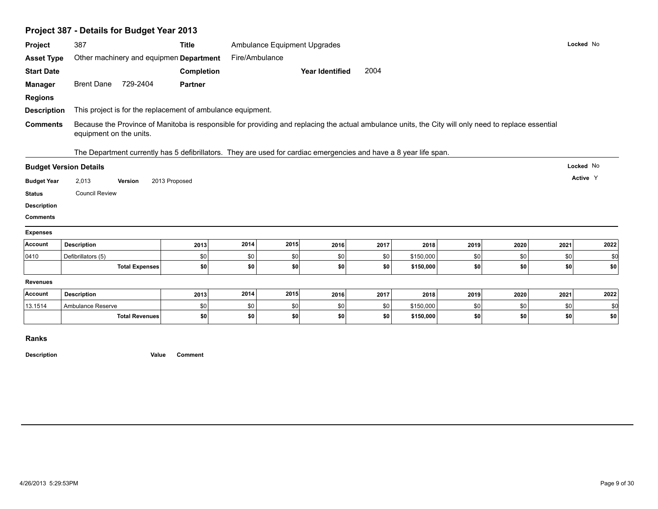| Project                                                                                                                                                     | 387                                                                                                                                                                             | <b>Title</b>   |                | Ambulance Equipment Upgrades |                        |            |                        |            |            |            | Locked No   |
|-------------------------------------------------------------------------------------------------------------------------------------------------------------|---------------------------------------------------------------------------------------------------------------------------------------------------------------------------------|----------------|----------------|------------------------------|------------------------|------------|------------------------|------------|------------|------------|-------------|
| <b>Asset Type</b>                                                                                                                                           | Other machinery and equipmen Department                                                                                                                                         |                | Fire/Ambulance |                              |                        |            |                        |            |            |            |             |
| <b>Start Date</b>                                                                                                                                           |                                                                                                                                                                                 | Completion     |                |                              | <b>Year Identified</b> | 2004       |                        |            |            |            |             |
| <b>Manager</b>                                                                                                                                              | Brent Dane 729-2404                                                                                                                                                             | <b>Partner</b> |                |                              |                        |            |                        |            |            |            |             |
| <b>Regions</b>                                                                                                                                              |                                                                                                                                                                                 |                |                |                              |                        |            |                        |            |            |            |             |
| <b>Description</b>                                                                                                                                          | This project is for the replacement of ambulance equipment.                                                                                                                     |                |                |                              |                        |            |                        |            |            |            |             |
| <b>Comments</b>                                                                                                                                             | Because the Province of Manitoba is responsible for providing and replacing the actual ambulance units, the City will only need to replace essential<br>equipment on the units. |                |                |                              |                        |            |                        |            |            |            |             |
|                                                                                                                                                             | The Department currently has 5 defibrillators. They are used for cardiac emergencies and have a 8 year life span.<br><b>Budget Version Details</b>                              |                |                |                              |                        |            |                        |            |            |            | Locked No   |
|                                                                                                                                                             |                                                                                                                                                                                 |                |                |                              |                        |            |                        |            |            |            |             |
|                                                                                                                                                             |                                                                                                                                                                                 |                |                |                              |                        |            |                        |            |            |            | Active Y    |
|                                                                                                                                                             | 2,013<br>Version                                                                                                                                                                | 2013 Proposed  |                |                              |                        |            |                        |            |            |            |             |
|                                                                                                                                                             | <b>Council Review</b>                                                                                                                                                           |                |                |                              |                        |            |                        |            |            |            |             |
|                                                                                                                                                             |                                                                                                                                                                                 |                |                |                              |                        |            |                        |            |            |            |             |
|                                                                                                                                                             |                                                                                                                                                                                 |                |                |                              |                        |            |                        |            |            |            |             |
|                                                                                                                                                             | <b>Description</b>                                                                                                                                                              | 2013           | 2014           | 2015                         | 2016                   | 2017       | 2018                   | 2019       | 2020       | 2021       | 2022        |
|                                                                                                                                                             | Defibrillators (5)                                                                                                                                                              | \$0            | \$0            | \$0                          | \$0                    | \$0        | \$150,000              | \$0        | \$0        | \$0        | \$0         |
|                                                                                                                                                             | <b>Total Expenses</b>                                                                                                                                                           | \$0            | \$0            | \$0                          | \$0                    | \$0        | \$150,000              | \$0        | \$0        | \$0        | \$0         |
|                                                                                                                                                             |                                                                                                                                                                                 |                |                |                              |                        |            |                        |            |            |            |             |
|                                                                                                                                                             | <b>Description</b>                                                                                                                                                              | 2013           | 2014           | 2015                         | 2016                   | 2017       | 2018                   | 2019       | 2020       | 2021       | 2022        |
| <b>Budget Year</b><br><b>Status</b><br><b>Description</b><br><b>Comments</b><br><b>Expenses</b><br>Account<br>0410<br><b>Revenues</b><br>Account<br>13.1514 | Ambulance Reserve<br><b>Total Revenues</b>                                                                                                                                      | \$0<br>\$0     | \$0<br>\$0     | \$0<br>\$0                   | \$0<br>\$0             | \$0<br>\$0 | \$150,000<br>\$150,000 | \$0<br>\$0 | \$0<br>\$0 | \$0<br>\$0 | \$0<br> \$0 |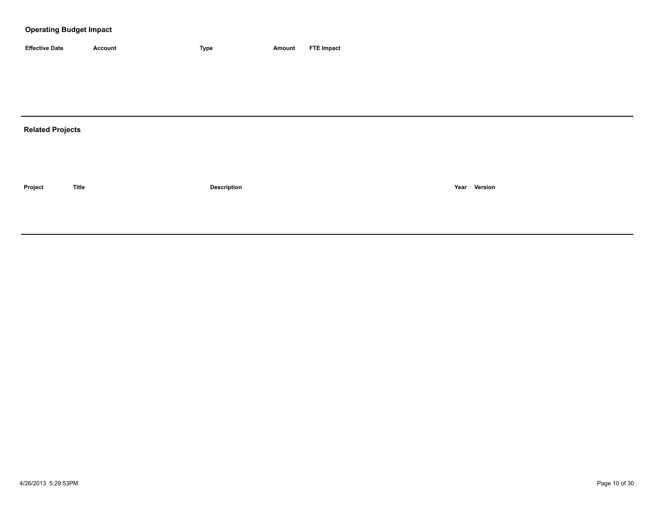| <b>Effective Date</b> | Account | <b>Type</b> | Amount | <b>FTE Impact</b> |
|-----------------------|---------|-------------|--------|-------------------|

## **Related Projects**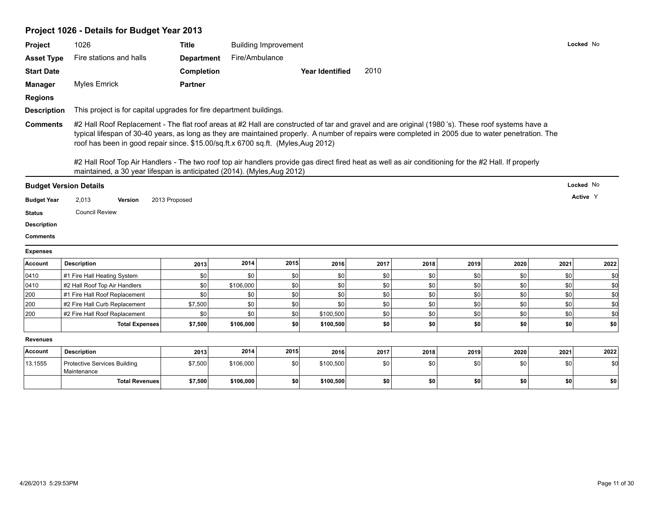# **Project 1026 - Details for Budget Year 2013**

| Project            | 1026                                                                                                                                                                                                                                                                                                                                                                                                                                                                                                                                                                                                                           | <b>Title</b>      |                | <b>Building Improvement</b> |                 |      |      |      |      | Locked No |             |
|--------------------|--------------------------------------------------------------------------------------------------------------------------------------------------------------------------------------------------------------------------------------------------------------------------------------------------------------------------------------------------------------------------------------------------------------------------------------------------------------------------------------------------------------------------------------------------------------------------------------------------------------------------------|-------------------|----------------|-----------------------------|-----------------|------|------|------|------|-----------|-------------|
|                    |                                                                                                                                                                                                                                                                                                                                                                                                                                                                                                                                                                                                                                |                   |                |                             |                 |      |      |      |      |           |             |
| <b>Asset Type</b>  | Fire stations and halls                                                                                                                                                                                                                                                                                                                                                                                                                                                                                                                                                                                                        | <b>Department</b> | Fire/Ambulance |                             |                 |      |      |      |      |           |             |
| <b>Start Date</b>  |                                                                                                                                                                                                                                                                                                                                                                                                                                                                                                                                                                                                                                | <b>Completion</b> |                |                             | Year Identified | 2010 |      |      |      |           |             |
| <b>Manager</b>     | <b>Myles Emrick</b>                                                                                                                                                                                                                                                                                                                                                                                                                                                                                                                                                                                                            | <b>Partner</b>    |                |                             |                 |      |      |      |      |           |             |
| <b>Regions</b>     |                                                                                                                                                                                                                                                                                                                                                                                                                                                                                                                                                                                                                                |                   |                |                             |                 |      |      |      |      |           |             |
| <b>Description</b> | This project is for capital upgrades for fire department buildings.                                                                                                                                                                                                                                                                                                                                                                                                                                                                                                                                                            |                   |                |                             |                 |      |      |      |      |           |             |
| <b>Comments</b>    | #2 Hall Roof Replacement - The flat roof areas at #2 Hall are constructed of tar and gravel and are original (1980's). These roof systems have a<br>typical lifespan of 30-40 years, as long as they are maintained properly. A number of repairs were completed in 2005 due to water penetration. The<br>roof has been in good repair since. \$15.00/sq.ft.x 6700 sq.ft. (Myles, Aug 2012)<br>#2 Hall Roof Top Air Handlers - The two roof top air handlers provide gas direct fired heat as well as air conditioning for the #2 Hall. If properly<br>maintained, a 30 year lifespan is anticipated (2014). (Myles, Aug 2012) |                   |                |                             |                 |      |      |      |      |           |             |
|                    |                                                                                                                                                                                                                                                                                                                                                                                                                                                                                                                                                                                                                                |                   |                |                             |                 |      |      |      |      | Locked No |             |
|                    |                                                                                                                                                                                                                                                                                                                                                                                                                                                                                                                                                                                                                                |                   |                |                             |                 |      |      |      |      |           |             |
|                    | <b>Budget Version Details</b>                                                                                                                                                                                                                                                                                                                                                                                                                                                                                                                                                                                                  |                   |                |                             |                 |      |      |      |      |           |             |
| <b>Budget Year</b> | 2,013<br>Version                                                                                                                                                                                                                                                                                                                                                                                                                                                                                                                                                                                                               | 2013 Proposed     |                |                             |                 |      |      |      |      | Active Y  |             |
| <b>Status</b>      | <b>Council Review</b>                                                                                                                                                                                                                                                                                                                                                                                                                                                                                                                                                                                                          |                   |                |                             |                 |      |      |      |      |           |             |
| <b>Description</b> |                                                                                                                                                                                                                                                                                                                                                                                                                                                                                                                                                                                                                                |                   |                |                             |                 |      |      |      |      |           |             |
| <b>Comments</b>    |                                                                                                                                                                                                                                                                                                                                                                                                                                                                                                                                                                                                                                |                   |                |                             |                 |      |      |      |      |           |             |
| <b>Expenses</b>    |                                                                                                                                                                                                                                                                                                                                                                                                                                                                                                                                                                                                                                |                   |                |                             |                 |      |      |      |      |           |             |
| Account            | <b>Description</b>                                                                                                                                                                                                                                                                                                                                                                                                                                                                                                                                                                                                             | 2013              | 2014           | 2015                        | 2016            | 2017 | 2018 | 2019 | 2020 | 2021      | 2022        |
| 0410               | #1 Fire Hall Heating System                                                                                                                                                                                                                                                                                                                                                                                                                                                                                                                                                                                                    | \$0               | \$0            | \$0                         | \$0             | \$0  | \$0  | \$0  | \$0  | \$0       | \$0         |
| 0410               | #2 Hall Roof Top Air Handlers                                                                                                                                                                                                                                                                                                                                                                                                                                                                                                                                                                                                  | \$0               | \$106,000      | \$0                         | \$0             | \$0  | \$0  | \$0  | \$0  | \$0       | \$d         |
| 200                | #1 Fire Hall Roof Replacement                                                                                                                                                                                                                                                                                                                                                                                                                                                                                                                                                                                                  | \$0               | \$0            | \$0                         | \$0             | \$0  | \$0  | \$0  | \$0  | \$0       | \$d         |
| 200                | #2 Fire Hall Curb Replacement                                                                                                                                                                                                                                                                                                                                                                                                                                                                                                                                                                                                  | \$7,500           | \$0            | \$0                         | \$0             | \$0  | \$0  | \$0  | \$0  | \$0       | \$d         |
| 200                | #2 Fire Hall Roof Replacement                                                                                                                                                                                                                                                                                                                                                                                                                                                                                                                                                                                                  | \$0               | \$0            | \$0                         | \$100,500       | \$0  | \$0  | \$0  | \$0  | \$0       | \$d         |
|                    | <b>Total Expenses</b>                                                                                                                                                                                                                                                                                                                                                                                                                                                                                                                                                                                                          | \$7,500           | \$106,000      | \$0                         | \$100,500       | \$0  | \$0  | \$0  | \$0  | \$0       | \$0         |
|                    |                                                                                                                                                                                                                                                                                                                                                                                                                                                                                                                                                                                                                                |                   |                |                             |                 |      |      |      |      |           |             |
| <b>Revenues</b>    |                                                                                                                                                                                                                                                                                                                                                                                                                                                                                                                                                                                                                                |                   |                |                             |                 |      |      |      |      |           |             |
| Account            | <b>Description</b>                                                                                                                                                                                                                                                                                                                                                                                                                                                                                                                                                                                                             | 2013              | 2014           | 2015                        | 2016            | 2017 | 2018 | 2019 | 2020 | 2021      |             |
| 13.1555            | <b>Protective Services Building</b><br>Maintenance                                                                                                                                                                                                                                                                                                                                                                                                                                                                                                                                                                             | \$7,500           | \$106,000      | \$0                         | \$100,500       | \$0  | \$0  | \$0  | \$0  | \$0       | 2022<br>\$d |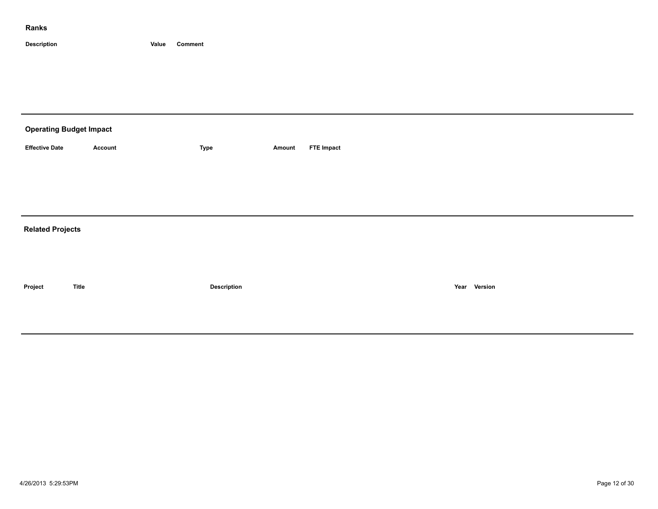| <b>Operating Budget Impact</b> |                |             |        |                   |
|--------------------------------|----------------|-------------|--------|-------------------|
| <b>Effective Date</b>          | <b>Account</b> | Type        | Amount | <b>FTE Impact</b> |
|                                |                |             |        |                   |
|                                |                |             |        |                   |
|                                |                |             |        |                   |
| <b>Related Projects</b>        |                |             |        |                   |
|                                |                |             |        |                   |
|                                |                |             |        |                   |
| Project                        | <b>Title</b>   | Description |        | Year Version      |
|                                |                |             |        |                   |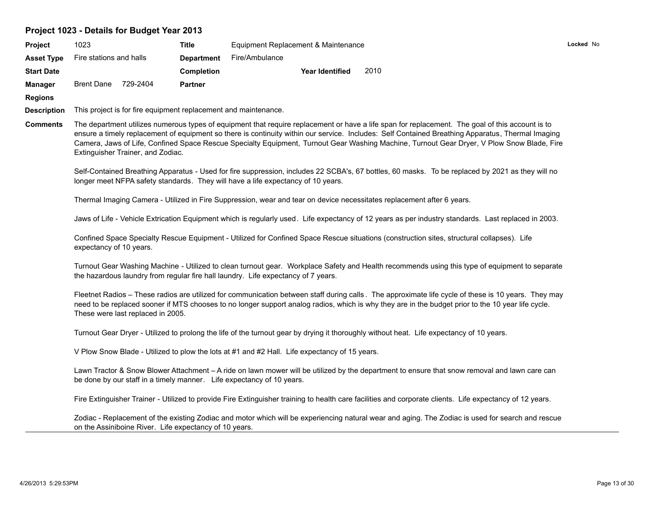# **Project 1023 - Details for Budget Year 2013**

| Project            | 1023                    |                                   | <b>Title</b>                                           | Equipment Replacement & Maintenance                                                           |                        |      |                                                                                                                                                                                                                                                                                                                                                                                                                                                     |  |
|--------------------|-------------------------|-----------------------------------|--------------------------------------------------------|-----------------------------------------------------------------------------------------------|------------------------|------|-----------------------------------------------------------------------------------------------------------------------------------------------------------------------------------------------------------------------------------------------------------------------------------------------------------------------------------------------------------------------------------------------------------------------------------------------------|--|
| <b>Asset Type</b>  | Fire stations and halls |                                   | <b>Department</b>                                      | Fire/Ambulance                                                                                |                        |      |                                                                                                                                                                                                                                                                                                                                                                                                                                                     |  |
| <b>Start Date</b>  |                         |                                   | <b>Completion</b>                                      |                                                                                               | <b>Year Identified</b> | 2010 |                                                                                                                                                                                                                                                                                                                                                                                                                                                     |  |
| <b>Manager</b>     | <b>Brent Dane</b>       | 729-2404                          | <b>Partner</b>                                         |                                                                                               |                        |      |                                                                                                                                                                                                                                                                                                                                                                                                                                                     |  |
| <b>Regions</b>     |                         |                                   |                                                        |                                                                                               |                        |      |                                                                                                                                                                                                                                                                                                                                                                                                                                                     |  |
| <b>Description</b> |                         |                                   |                                                        | This project is for fire equipment replacement and maintenance.                               |                        |      |                                                                                                                                                                                                                                                                                                                                                                                                                                                     |  |
| <b>Comments</b>    |                         | Extinguisher Trainer, and Zodiac. |                                                        |                                                                                               |                        |      | The department utilizes numerous types of equipment that require replacement or have a life span for replacement. The goal of this account is to<br>ensure a timely replacement of equipment so there is continuity within our service. Includes: Self Contained Breathing Apparatus, Thermal Imaging<br>Camera, Jaws of Life, Confined Space Rescue Specialty Equipment, Turnout Gear Washing Machine, Turnout Gear Dryer, V Plow Snow Blade, Fire |  |
|                    |                         |                                   |                                                        | longer meet NFPA safety standards. They will have a life expectancy of 10 years.              |                        |      | Self-Contained Breathing Apparatus - Used for fire suppression, includes 22 SCBA's, 67 bottles, 60 masks. To be replaced by 2021 as they will no                                                                                                                                                                                                                                                                                                    |  |
|                    |                         |                                   |                                                        |                                                                                               |                        |      | Thermal Imaging Camera - Utilized in Fire Suppression, wear and tear on device necessitates replacement after 6 years.                                                                                                                                                                                                                                                                                                                              |  |
|                    |                         |                                   |                                                        |                                                                                               |                        |      | Jaws of Life - Vehicle Extrication Equipment which is regularly used. Life expectancy of 12 years as per industry standards. Last replaced in 2003.                                                                                                                                                                                                                                                                                                 |  |
|                    | expectancy of 10 years. |                                   |                                                        |                                                                                               |                        |      | Confined Space Specialty Rescue Equipment - Utilized for Confined Space Rescue situations (construction sites, structural collapses). Life                                                                                                                                                                                                                                                                                                          |  |
|                    |                         |                                   |                                                        | the hazardous laundry from regular fire hall laundry. Life expectancy of 7 years.             |                        |      | Turnout Gear Washing Machine - Utilized to clean turnout gear. Workplace Safety and Health recommends using this type of equipment to separate                                                                                                                                                                                                                                                                                                      |  |
|                    |                         | These were last replaced in 2005. |                                                        |                                                                                               |                        |      | Fleetnet Radios - These radios are utilized for communication between staff during calls. The approximate life cycle of these is 10 years. They may<br>need to be replaced sooner if MTS chooses to no longer support analog radios, which is why they are in the budget prior to the 10 year life cycle.                                                                                                                                           |  |
|                    |                         |                                   |                                                        |                                                                                               |                        |      | Turnout Gear Dryer - Utilized to prolong the life of the turnout gear by drying it thoroughly without heat. Life expectancy of 10 years.                                                                                                                                                                                                                                                                                                            |  |
|                    |                         |                                   |                                                        | V Plow Snow Blade - Utilized to plow the lots at #1 and #2 Hall. Life expectancy of 15 years. |                        |      |                                                                                                                                                                                                                                                                                                                                                                                                                                                     |  |
|                    |                         |                                   |                                                        | be done by our staff in a timely manner. Life expectancy of 10 years.                         |                        |      | Lawn Tractor & Snow Blower Attachment - A ride on lawn mower will be utilized by the department to ensure that snow removal and lawn care can                                                                                                                                                                                                                                                                                                       |  |
|                    |                         |                                   |                                                        |                                                                                               |                        |      | Fire Extinguisher Trainer - Utilized to provide Fire Extinguisher training to health care facilities and corporate clients. Life expectancy of 12 years.                                                                                                                                                                                                                                                                                            |  |
|                    |                         |                                   | on the Assiniboine River. Life expectancy of 10 years. |                                                                                               |                        |      | Zodiac - Replacement of the existing Zodiac and motor which will be experiencing natural wear and aging. The Zodiac is used for search and rescue                                                                                                                                                                                                                                                                                                   |  |

**Locked** No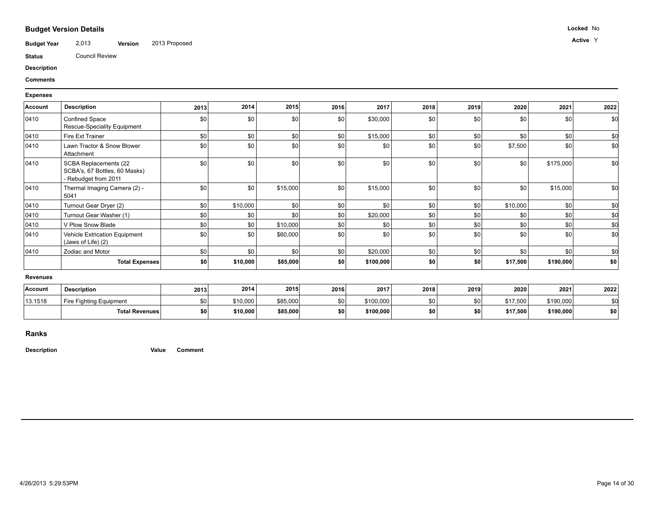## **Budget Version Details**

**Budget Year Version Active** 2,013 2013 Proposed <sup>Y</sup>

**Status** Council Review

**Description**

#### **Comments**

#### **Expenses**

| Account         | <b>Description</b>                                                             | 2013 | 2014     | 2015     | 2016 | 2017      | 2018 | 2019             | 2020     | 2021      | 2022 |
|-----------------|--------------------------------------------------------------------------------|------|----------|----------|------|-----------|------|------------------|----------|-----------|------|
| 0410            | <b>Confined Space</b><br>Rescue-Speciality Equipment                           | \$0  | \$0      | \$0      | \$0  | \$30,000  | \$0  | \$0              | \$0      | \$0       | \$0  |
| 0410            | Fire Ext Trainer                                                               | \$0  | \$0      | \$0      | \$0  | \$15,000  | \$0  | \$0              | \$0      | \$0       | \$0  |
| 0410            | Lawn Tractor & Snow Blower<br>Attachment                                       | \$0  | \$0      | \$0      | \$0  | \$0       | \$0  | \$0              | \$7,500  | \$0       | \$0  |
| 0410            | SCBA Replacements (22<br>SCBA's, 67 Bottles, 60 Masks)<br>- Rebudget from 2011 | \$0  | \$0      | \$0      | \$0  | \$0       | \$0  | \$0              | \$0      | \$175,000 | \$0  |
| 0410            | Thermal Imaging Camera (2) -<br>5041                                           | \$0  | \$0      | \$15,000 | \$0  | \$15,000  | \$0  | \$0              | \$0      | \$15,000  | \$0  |
| 0410            | Turnout Gear Dryer (2)                                                         | \$0  | \$10,000 | \$0      | \$0  | \$0       | \$0  | \$0              | \$10,000 | 30        | \$0  |
| 0410            | Turnout Gear Washer (1)                                                        | \$0  | \$0      | \$0      | \$0  | \$20,000  | \$0  | \$0              | \$0      | \$0       | \$C  |
| 0410            | V Plow Snow Blade                                                              | \$0  | \$0      | \$10,000 | \$0  | \$0       | \$0  | \$0 <sub>1</sub> | \$0      | \$0       | \$C  |
| 0410            | Vehicle Extrication Equipment<br>(Jaws of Life) (2)                            | \$0  | \$0      | \$60,000 | \$0  | \$0       | \$0  | \$0              | \$0      | \$0       | \$0  |
| 0410            | Zodiac and Motor                                                               | \$0  | \$0      | \$0      | \$0  | \$20,000  | \$0  | \$0              | \$0      | \$0       | \$0  |
|                 | <b>Total Expenses</b>                                                          | \$0  | \$10,000 | \$85,000 | \$0  | \$100,000 | \$0  | \$0              | \$17,500 | \$190,000 | \$0  |
| <b>Revenues</b> |                                                                                |      |          |          |      |           |      |                  |          |           |      |
| Account         | <b>Description</b>                                                             | 2013 | 2014     | 2015     | 2016 | 2017      | 2018 | 2019             | 2020     | 2021      | 2022 |

| Accoun  | <b>Description</b>      | 2013       | 2014     | 2015     | 2016 | 2017      | 2018 | 2019       | 2020     | 2021      | 2022 |
|---------|-------------------------|------------|----------|----------|------|-----------|------|------------|----------|-----------|------|
| 13.1518 | Fire Fighting Equipment | \$01       | \$10,000 | \$85,000 | \$0  | \$100,000 |      | \$0        | \$17,500 | \$190,000 |      |
|         | <b>Total Revenues</b>   | <b>COL</b> | \$10,000 | \$85,000 |      | \$100,000 | ΦΛ.  | <b>\$0</b> | \$17,500 | \$190,000 | \$0  |

#### **Ranks**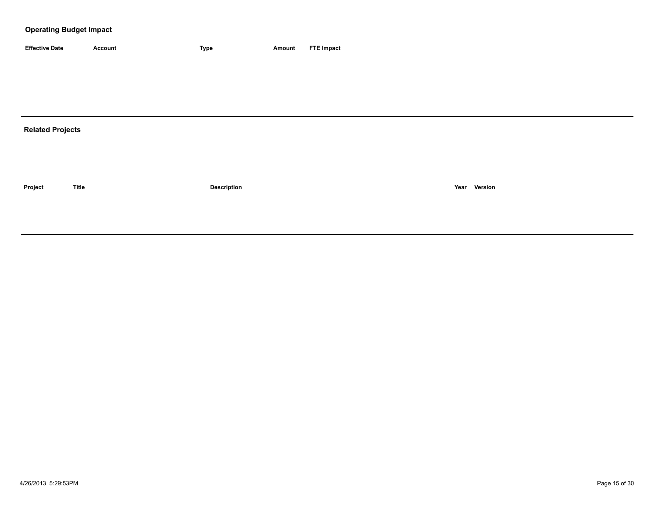| <b>Effective Date</b> | Account | 'vpe | Amount | <b>FTE Impact</b> |
|-----------------------|---------|------|--------|-------------------|

## **Related Projects**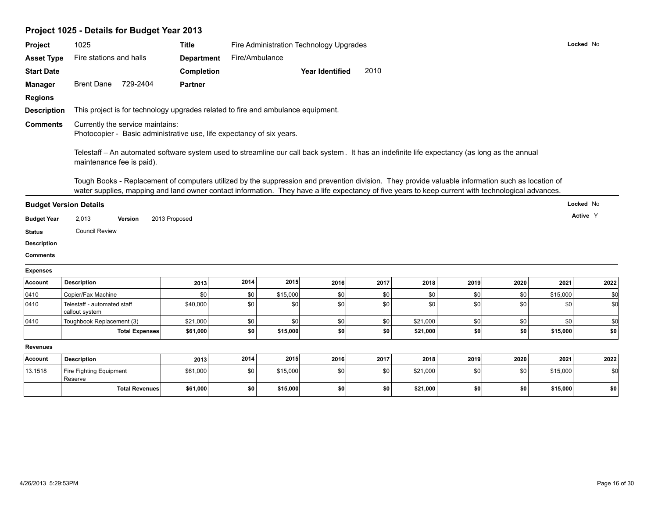| Project 1025 - Details for Budget Year 2013 |  |
|---------------------------------------------|--|
|---------------------------------------------|--|

| Project                                                                                         |                                                                                                                                                                                                                                                                                                         |                       |                   |                |          |                                         |      |          |      |      |          |           |
|-------------------------------------------------------------------------------------------------|---------------------------------------------------------------------------------------------------------------------------------------------------------------------------------------------------------------------------------------------------------------------------------------------------------|-----------------------|-------------------|----------------|----------|-----------------------------------------|------|----------|------|------|----------|-----------|
|                                                                                                 | 1025                                                                                                                                                                                                                                                                                                    |                       | <b>Title</b>      |                |          | Fire Administration Technology Upgrades |      |          |      |      |          | Locked No |
| <b>Asset Type</b>                                                                               | Fire stations and halls                                                                                                                                                                                                                                                                                 |                       | <b>Department</b> | Fire/Ambulance |          |                                         |      |          |      |      |          |           |
| <b>Start Date</b>                                                                               |                                                                                                                                                                                                                                                                                                         |                       | Completion        |                |          | <b>Year Identified</b>                  | 2010 |          |      |      |          |           |
| <b>Manager</b>                                                                                  | <b>Brent Dane</b>                                                                                                                                                                                                                                                                                       | 729-2404              | <b>Partner</b>    |                |          |                                         |      |          |      |      |          |           |
| <b>Regions</b>                                                                                  |                                                                                                                                                                                                                                                                                                         |                       |                   |                |          |                                         |      |          |      |      |          |           |
| <b>Description</b>                                                                              | This project is for technology upgrades related to fire and ambulance equipment.                                                                                                                                                                                                                        |                       |                   |                |          |                                         |      |          |      |      |          |           |
| <b>Comments</b>                                                                                 | Currently the service maintains:<br>Photocopier - Basic administrative use, life expectancy of six years.                                                                                                                                                                                               |                       |                   |                |          |                                         |      |          |      |      |          |           |
|                                                                                                 | Telestaff - An automated software system used to streamline our call back system. It has an indefinite life expectancy (as long as the annual<br>maintenance fee is paid).                                                                                                                              |                       |                   |                |          |                                         |      |          |      |      |          |           |
|                                                                                                 | Tough Books - Replacement of computers utilized by the suppression and prevention division. They provide valuable information such as location of<br>water supplies, mapping and land owner contact information. They have a life expectancy of five years to keep current with technological advances. |                       |                   |                |          |                                         |      |          |      |      |          |           |
|                                                                                                 |                                                                                                                                                                                                                                                                                                         |                       |                   |                |          |                                         |      |          |      |      |          | Locked No |
| <b>Budget Version Details</b>                                                                   |                                                                                                                                                                                                                                                                                                         |                       |                   |                |          |                                         |      |          |      |      |          |           |
|                                                                                                 | 2,013                                                                                                                                                                                                                                                                                                   | Version               | 2013 Proposed     |                |          |                                         |      |          |      |      |          | Active Y  |
|                                                                                                 | <b>Council Review</b>                                                                                                                                                                                                                                                                                   |                       |                   |                |          |                                         |      |          |      |      |          |           |
|                                                                                                 |                                                                                                                                                                                                                                                                                                         |                       |                   |                |          |                                         |      |          |      |      |          |           |
|                                                                                                 |                                                                                                                                                                                                                                                                                                         |                       |                   |                |          |                                         |      |          |      |      |          |           |
| <b>Budget Year</b><br><b>Status</b><br><b>Description</b><br><b>Comments</b><br><b>Expenses</b> |                                                                                                                                                                                                                                                                                                         |                       |                   |                |          |                                         |      |          |      |      |          |           |
|                                                                                                 | <b>Description</b>                                                                                                                                                                                                                                                                                      |                       | 2013              | 2014           | 2015     | 2016                                    | 2017 | 2018     | 2019 | 2020 | 2021     | 2022      |
|                                                                                                 | Copier/Fax Machine                                                                                                                                                                                                                                                                                      |                       | \$0               | \$0            | \$15,000 | \$0                                     | \$0  | \$0      | \$0  | \$0  | \$15,000 | \$0       |
| Account<br>0410<br>0410                                                                         | Telestaff - automated staff<br>callout system                                                                                                                                                                                                                                                           |                       | \$40,000          | \$0            | \$0      | \$0                                     | \$0  | \$0      | \$0  | \$0  | \$0      | \$d       |
| 0410                                                                                            | Toughbook Replacement (3)                                                                                                                                                                                                                                                                               |                       | \$21,000          | \$0            | \$0      | \$0                                     | \$0  | \$21,000 | \$0  | \$0  | \$0      | \$d       |
|                                                                                                 |                                                                                                                                                                                                                                                                                                         | <b>Total Expenses</b> | \$61,000          | \$0            | \$15,000 | \$0                                     | \$0  | \$21,000 | \$0  | \$0  | \$15,000 | \$0       |
| <b>Revenues</b>                                                                                 |                                                                                                                                                                                                                                                                                                         |                       |                   |                |          |                                         |      |          |      |      |          |           |
| Account                                                                                         | <b>Description</b>                                                                                                                                                                                                                                                                                      |                       | 2013              | 2014           | 2015     | 2016                                    | 2017 | 2018     | 2019 | 2020 | 2021     | 2022      |
| 13.1518                                                                                         | Fire Fighting Equipment<br>Reserve                                                                                                                                                                                                                                                                      |                       | \$61,000          | \$0            | \$15,000 | \$0                                     | \$0  | \$21,000 | \$0  | \$0  | \$15,000 | \$0       |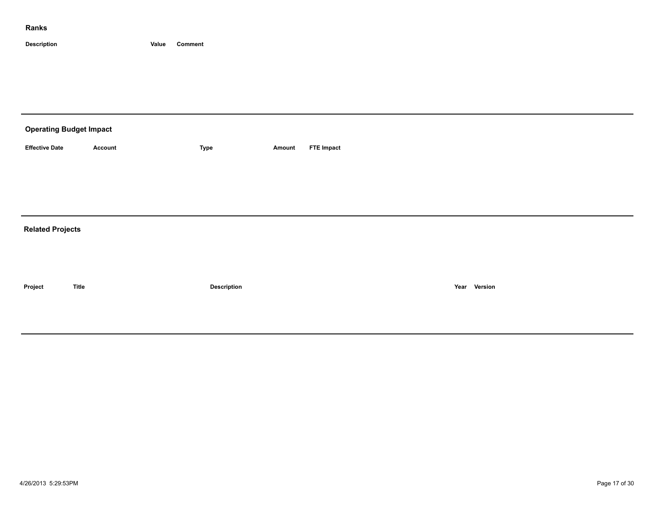| <b>Operating Budget Impact</b> |                |                    |        |                   |              |  |
|--------------------------------|----------------|--------------------|--------|-------------------|--------------|--|
| <b>Effective Date</b>          | <b>Account</b> | Type               | Amount | <b>FTE Impact</b> |              |  |
|                                |                |                    |        |                   |              |  |
|                                |                |                    |        |                   |              |  |
|                                |                |                    |        |                   |              |  |
| <b>Related Projects</b>        |                |                    |        |                   |              |  |
|                                |                |                    |        |                   |              |  |
|                                |                |                    |        |                   |              |  |
| Project                        | <b>Title</b>   | <b>Description</b> |        |                   | Year Version |  |
|                                |                |                    |        |                   |              |  |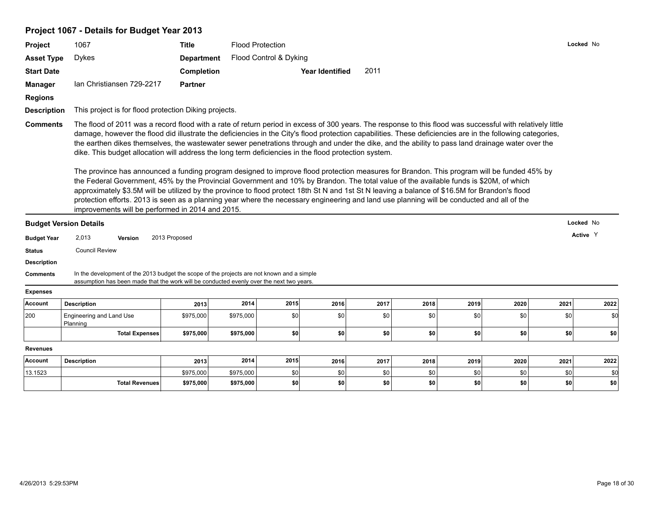# **Project 1067 - Details for Budget Year 2013**

| Project            | 1067                                                                                                                                                                                                                                                                                                                                                                                                                                                                                                                                                                                                                                                                                                                                                                                                                                                                                                                                                                                                                                                                                                                                                                                                                             | <b>Title</b>      |           | <b>Flood Protection</b> |                        |      |      |      |      |      | Locked No |
|--------------------|----------------------------------------------------------------------------------------------------------------------------------------------------------------------------------------------------------------------------------------------------------------------------------------------------------------------------------------------------------------------------------------------------------------------------------------------------------------------------------------------------------------------------------------------------------------------------------------------------------------------------------------------------------------------------------------------------------------------------------------------------------------------------------------------------------------------------------------------------------------------------------------------------------------------------------------------------------------------------------------------------------------------------------------------------------------------------------------------------------------------------------------------------------------------------------------------------------------------------------|-------------------|-----------|-------------------------|------------------------|------|------|------|------|------|-----------|
| <b>Asset Type</b>  | <b>Dykes</b>                                                                                                                                                                                                                                                                                                                                                                                                                                                                                                                                                                                                                                                                                                                                                                                                                                                                                                                                                                                                                                                                                                                                                                                                                     | <b>Department</b> |           | Flood Control & Dyking  |                        |      |      |      |      |      |           |
| <b>Start Date</b>  |                                                                                                                                                                                                                                                                                                                                                                                                                                                                                                                                                                                                                                                                                                                                                                                                                                                                                                                                                                                                                                                                                                                                                                                                                                  | Completion        |           |                         | <b>Year Identified</b> | 2011 |      |      |      |      |           |
| <b>Manager</b>     | Ian Christiansen 729-2217                                                                                                                                                                                                                                                                                                                                                                                                                                                                                                                                                                                                                                                                                                                                                                                                                                                                                                                                                                                                                                                                                                                                                                                                        | <b>Partner</b>    |           |                         |                        |      |      |      |      |      |           |
| <b>Regions</b>     |                                                                                                                                                                                                                                                                                                                                                                                                                                                                                                                                                                                                                                                                                                                                                                                                                                                                                                                                                                                                                                                                                                                                                                                                                                  |                   |           |                         |                        |      |      |      |      |      |           |
| <b>Description</b> | This project is for flood protection Diking projects.                                                                                                                                                                                                                                                                                                                                                                                                                                                                                                                                                                                                                                                                                                                                                                                                                                                                                                                                                                                                                                                                                                                                                                            |                   |           |                         |                        |      |      |      |      |      |           |
| <b>Comments</b>    | The flood of 2011 was a record flood with a rate of return period in excess of 300 years. The response to this flood was successful with relatively little<br>damage, however the flood did illustrate the deficiencies in the City's flood protection capabilities. These deficiencies are in the following categories,<br>the earthen dikes themselves, the wastewater sewer penetrations through and under the dike, and the ability to pass land drainage water over the<br>dike. This budget allocation will address the long term deficiencies in the flood protection system.<br>The province has announced a funding program designed to improve flood protection measures for Brandon. This program will be funded 45% by<br>the Federal Government, 45% by the Provincial Government and 10% by Brandon. The total value of the available funds is \$20M, of which<br>approximately \$3.5M will be utilized by the province to flood protect 18th St N and 1st St N leaving a balance of \$16.5M for Brandon's flood<br>protection efforts. 2013 is seen as a planning year where the necessary engineering and land use planning will be conducted and all of the<br>improvements will be performed in 2014 and 2015. |                   |           |                         |                        |      |      |      |      |      |           |
|                    | <b>Budget Version Details</b>                                                                                                                                                                                                                                                                                                                                                                                                                                                                                                                                                                                                                                                                                                                                                                                                                                                                                                                                                                                                                                                                                                                                                                                                    |                   |           |                         |                        |      |      |      |      |      | Locked No |
| <b>Budget Year</b> | 2,013<br>Version                                                                                                                                                                                                                                                                                                                                                                                                                                                                                                                                                                                                                                                                                                                                                                                                                                                                                                                                                                                                                                                                                                                                                                                                                 | 2013 Proposed     |           |                         |                        |      |      |      |      |      | Active Y  |
| <b>Status</b>      | <b>Council Review</b>                                                                                                                                                                                                                                                                                                                                                                                                                                                                                                                                                                                                                                                                                                                                                                                                                                                                                                                                                                                                                                                                                                                                                                                                            |                   |           |                         |                        |      |      |      |      |      |           |
| <b>Description</b> |                                                                                                                                                                                                                                                                                                                                                                                                                                                                                                                                                                                                                                                                                                                                                                                                                                                                                                                                                                                                                                                                                                                                                                                                                                  |                   |           |                         |                        |      |      |      |      |      |           |
| <b>Comments</b>    | In the development of the 2013 budget the scope of the projects are not known and a simple<br>assumption has been made that the work will be conducted evenly over the next two years.                                                                                                                                                                                                                                                                                                                                                                                                                                                                                                                                                                                                                                                                                                                                                                                                                                                                                                                                                                                                                                           |                   |           |                         |                        |      |      |      |      |      |           |
| <b>Expenses</b>    |                                                                                                                                                                                                                                                                                                                                                                                                                                                                                                                                                                                                                                                                                                                                                                                                                                                                                                                                                                                                                                                                                                                                                                                                                                  |                   |           |                         |                        |      |      |      |      |      |           |
| Account            | <b>Description</b>                                                                                                                                                                                                                                                                                                                                                                                                                                                                                                                                                                                                                                                                                                                                                                                                                                                                                                                                                                                                                                                                                                                                                                                                               | 2013              | 2014      | 2015                    | 2016                   | 2017 | 2018 | 2019 | 2020 | 2021 | 2022      |
| 200                | Engineering and Land Use<br>Planning                                                                                                                                                                                                                                                                                                                                                                                                                                                                                                                                                                                                                                                                                                                                                                                                                                                                                                                                                                                                                                                                                                                                                                                             | \$975,000         | \$975,000 | \$0                     | \$0                    | \$0  | \$0  | \$0  | \$0  | \$0  | \$0       |
|                    | <b>Total Expenses</b>                                                                                                                                                                                                                                                                                                                                                                                                                                                                                                                                                                                                                                                                                                                                                                                                                                                                                                                                                                                                                                                                                                                                                                                                            | \$975,000         | \$975,000 | \$0                     | \$0                    | \$0  | \$0  | \$0  | \$0  | \$0  | \$0       |
| <b>Revenues</b>    |                                                                                                                                                                                                                                                                                                                                                                                                                                                                                                                                                                                                                                                                                                                                                                                                                                                                                                                                                                                                                                                                                                                                                                                                                                  |                   |           |                         |                        |      |      |      |      |      |           |
| Account            | <b>Description</b>                                                                                                                                                                                                                                                                                                                                                                                                                                                                                                                                                                                                                                                                                                                                                                                                                                                                                                                                                                                                                                                                                                                                                                                                               | 2013              | 2014      | 2015                    | 2016                   | 2017 | 2018 | 2019 | 2020 | 2021 | 2022      |
| 13.1523            |                                                                                                                                                                                                                                                                                                                                                                                                                                                                                                                                                                                                                                                                                                                                                                                                                                                                                                                                                                                                                                                                                                                                                                                                                                  | \$975,000         | \$975,000 | \$0                     | \$0                    | \$0  | \$0  | \$0  | \$0  | \$0  | \$d       |

**Total Revenues \$975,000 \$975,000 \$0 \$0 \$0 \$0 \$0 \$0 \$0 \$0**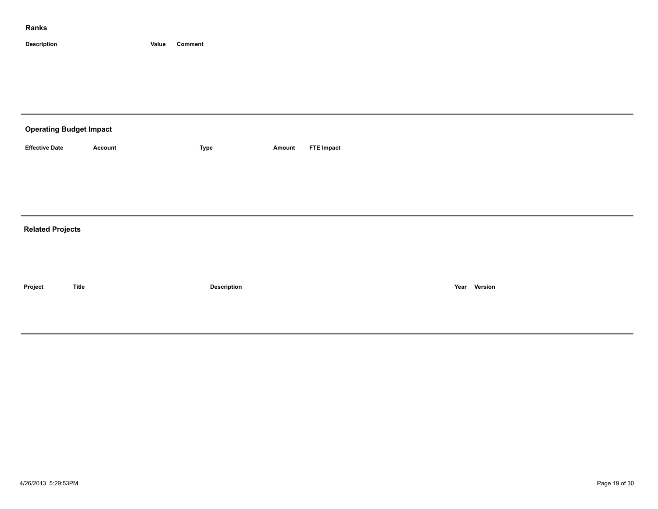| <b>Operating Budget Impact</b> |                |             |        |                   |
|--------------------------------|----------------|-------------|--------|-------------------|
| <b>Effective Date</b>          | <b>Account</b> | Type        | Amount | <b>FTE Impact</b> |
|                                |                |             |        |                   |
|                                |                |             |        |                   |
|                                |                |             |        |                   |
| <b>Related Projects</b>        |                |             |        |                   |
|                                |                |             |        |                   |
|                                |                |             |        |                   |
| Project                        | <b>Title</b>   | Description |        | Year Version      |
|                                |                |             |        |                   |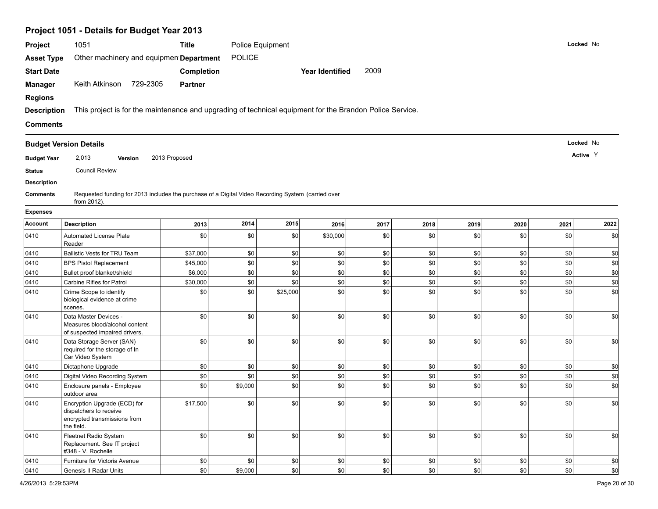|                    | Project 1051 - Details for Budget Year 2013                                                                       |                   |                  |          |                 |      |         |         |             |      |           |
|--------------------|-------------------------------------------------------------------------------------------------------------------|-------------------|------------------|----------|-----------------|------|---------|---------|-------------|------|-----------|
| Project            | 1051                                                                                                              | <b>Title</b>      | Police Equipment |          |                 |      |         |         |             |      | Locked No |
| <b>Asset Type</b>  | Other machinery and equipmen Department                                                                           |                   | <b>POLICE</b>    |          |                 |      |         |         |             |      |           |
| <b>Start Date</b>  |                                                                                                                   | <b>Completion</b> |                  |          | Year Identified | 2009 |         |         |             |      |           |
| <b>Manager</b>     | Keith Atkinson 729-2305                                                                                           | <b>Partner</b>    |                  |          |                 |      |         |         |             |      |           |
| <b>Regions</b>     |                                                                                                                   |                   |                  |          |                 |      |         |         |             |      |           |
| <b>Description</b> | This project is for the maintenance and upgrading of technical equipment for the Brandon Police Service.          |                   |                  |          |                 |      |         |         |             |      |           |
| <b>Comments</b>    |                                                                                                                   |                   |                  |          |                 |      |         |         |             |      |           |
|                    |                                                                                                                   |                   |                  |          |                 |      |         |         |             |      |           |
|                    | <b>Budget Version Details</b>                                                                                     |                   |                  |          |                 |      |         |         |             |      | Locked No |
| <b>Budget Year</b> | 2,013<br>Version                                                                                                  | 2013 Proposed     |                  |          |                 |      |         |         |             |      | Active Y  |
| <b>Status</b>      | <b>Council Review</b>                                                                                             |                   |                  |          |                 |      |         |         |             |      |           |
| <b>Description</b> |                                                                                                                   |                   |                  |          |                 |      |         |         |             |      |           |
| <b>Comments</b>    | Requested funding for 2013 includes the purchase of a Digital Video Recording System (carried over<br>from 2012). |                   |                  |          |                 |      |         |         |             |      |           |
| <b>Expenses</b>    |                                                                                                                   |                   |                  |          |                 |      |         |         |             |      |           |
| Account            | <b>Description</b>                                                                                                | 2013              | 2014             | 2015     | 2016            | 2017 | 2018    | 2019    | 2020        | 2021 | 2022      |
| 0410               | <b>Automated License Plate</b><br>Reader                                                                          | \$0               | \$0              | \$0      | \$30,000        | \$0  | \$0     | \$0     | \$0         | \$0  | \$d       |
| 0410               | <b>Ballistic Vests for TRU Team</b>                                                                               | \$37,000          | \$0              | \$0      | \$0             | \$0  | \$0     | \$0     | \$0         | \$0  | \$d       |
| 0410               | <b>BPS Pistol Replacement</b>                                                                                     | \$45,000          | \$0              | \$0      | \$0             | \$0  | \$0     | \$0     | \$0         | \$0  | \$d       |
| 0410               | Bullet proof blanket/shield                                                                                       | \$6,000           | \$0              | \$0      | \$0             | \$0  | \$0     | \$0     | \$0         | \$0  | \$0       |
| 0410               | Carbine Rifles for Patrol                                                                                         | \$30,000          | \$0              | \$0      | \$0             | \$0  | \$0     | \$0     | \$0         | \$0  | \$0       |
| 0410               | Crime Scope to identify<br>biological evidence at crime<br>scenes.                                                | \$0               | \$0              | \$25,000 | \$0             | \$0  | \$0     | \$0     | \$0         | \$0  | \$0       |
| 0410               | Data Master Devices -<br>Measures blood/alcohol content<br>of suspected impaired drivers.                         | \$0               | \$0              | \$0      | \$0             | \$0  | \$0     | \$0     | \$0         | \$0  | \$0       |
| 0410               | Data Storage Server (SAN)<br>required for the storage of In<br>Car Video System                                   | \$0               | \$0              | \$0      | \$0             | \$0  | \$0     | \$0     | \$0         | \$0  | \$0       |
| 0410               | Dictaphone Upgrade                                                                                                | \$0               | \$0              | \$0      | \$0             | \$0  | \$0     | \$0     | \$0         | \$0  | \$0       |
| 0410               | Digital Video Recording System                                                                                    | \$0               | \$0              | \$0      | \$0             | \$0  | \$0     | \$0     | \$0         | \$0  | \$0       |
| 0410               | Enclosure panels - Employee<br>outdoor area                                                                       | \$0               | \$9,000          | \$0      | \$0             | \$0  | \$0     | \$0     | \$0         | \$0  | \$0       |
| 0410               | Encryption Upgrade (ECD) for<br>dispatchers to receive<br>encrypted transmissions from<br>the field.              | \$17,500          | \$0              | \$0      | \$0             | \$0  | \$0     | \$0     | \$0         | \$0  | \$d       |
| 0410               | Fleetnet Radio System<br>Replacement. See IT project<br>#348 - V. Rochelle                                        | \$0               | \$0              | \$0      | \$0             | \$0  | \$0     | \$0     | $ $ \$0     | \$0  | \$d       |
| 0410               | Furniture for Victoria Avenue                                                                                     | \$0               | \$0              | \$0      | $ $ \$0         | \$0  | \$0     | $ $ \$0 | $\vert$ \$0 | \$0  | \$d       |
| 0410               | Genesis II Radar Units                                                                                            | \$0               | \$9,000          | \$0      | \$0             | \$0  | $ $ \$0 | $ $ \$0 | $\circ$     | \$0  | \$d       |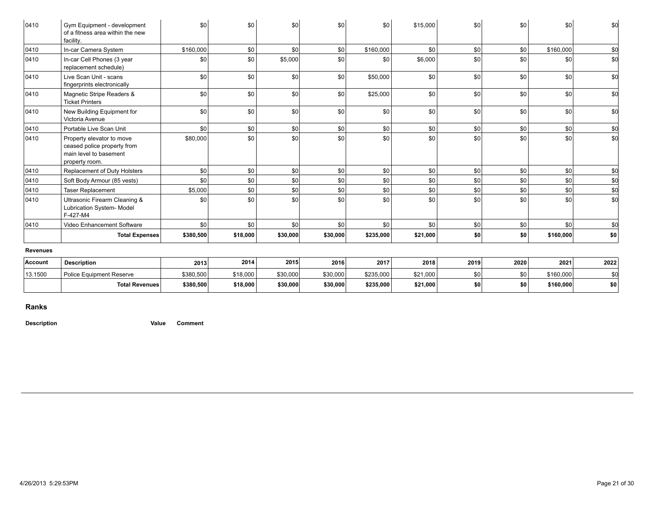| <b>Revenues</b> | Total Expenses                                                                                       | \$380,500 | \$18,000 |                  |          |           |          |     |     |           |     |
|-----------------|------------------------------------------------------------------------------------------------------|-----------|----------|------------------|----------|-----------|----------|-----|-----|-----------|-----|
|                 |                                                                                                      |           |          |                  |          |           |          |     |     |           |     |
|                 |                                                                                                      |           |          | \$30,000         | \$30,000 | \$235,000 | \$21,000 | \$0 | \$0 | \$160,000 | \$0 |
| 0410            | Video Enhancement Software                                                                           | \$0       | \$0      | \$0              | \$0      | \$0       | \$0      | \$0 | \$0 | \$0       | \$0 |
| 0410            | Ultrasonic Firearm Cleaning &<br>Lubrication System- Model<br>F-427-M4                               | \$0       | \$0      | $s$ <sub>0</sub> | \$0      | \$0       | \$0      | \$0 | \$0 | \$0       | \$0 |
| 0410            | <b>Taser Replacement</b>                                                                             | \$5,000   | \$0      | \$0              | \$0      | \$0       | \$0      | \$0 | \$0 | \$0       | \$0 |
| 0410            | Soft Body Armour (85 vests)                                                                          | \$0       | \$0      | \$0              | \$0      | \$0       | \$0      | \$0 | \$0 | \$0       | \$0 |
| 0410            | Replacement of Duty Holsters                                                                         | \$0       | \$0      | \$0              | \$0      | \$0       | \$0      | \$0 | \$0 | \$0       | \$0 |
| 0410            | Property elevator to move<br>ceased police property from<br>main level to basement<br>property room. | \$80,000  | \$0      | $s$ <sub>0</sub> | \$0      | \$0       | \$0      | \$0 | \$0 | \$0       | \$0 |
| 0410            | Portable Live Scan Unit                                                                              | \$0       | \$0      | \$0              | \$0      | \$0       | \$0      | \$0 | \$0 | \$0       | \$0 |
| 0410            | New Building Equipment for<br>Victoria Avenue                                                        | \$0       | \$0      | \$0              | \$0      | \$0       | \$0      | \$0 | \$0 | \$0       | \$0 |
| 0410            | Magnetic Stripe Readers &<br><b>Ticket Printers</b>                                                  | \$0       | \$0      | $s$ <sub>0</sub> | \$0      | \$25,000  | \$0      | \$0 | \$0 | \$0       | \$0 |
| 0410            | Live Scan Unit - scans<br>fingerprints electronically                                                | \$0       | \$0      | $s$ <sub>0</sub> | \$0      | \$50,000  | \$0      | \$0 | \$0 | \$0       | \$0 |
| 0410            | In-car Cell Phones (3 year<br>replacement schedule)                                                  | \$0       | \$0      | \$5,000          | \$0      | \$0       | \$6,000  | \$0 | \$0 | \$0       | \$0 |
| 0410            | In-car Camera System                                                                                 | \$160,000 | \$0      | sol              | \$0      | \$160,000 | \$0      | \$0 | \$0 | \$160,000 | \$0 |
| 0410            | Gym Equipment - development<br>of a fitness area within the new<br>facility.                         | \$0       | \$0      | \$0              | \$0      | \$0       | \$15,000 | \$0 | \$0 | \$0       | \$0 |

| \$30,000<br>\$235,000<br>\$160,000<br>\$30,000<br>\$21,000<br>\$380,500<br>\$18,000<br>SO I<br>ا SO<br>Police Equipment Reserve<br>\$30,000<br>\$235,000<br>\$160,000<br>\$30,000<br>\$18,000<br>\$21,000<br>\$380,500<br>\$0 <br>\$OI<br><b>Total Revenues</b> | Account | <b>Description</b> | 2013 | 2014 | 2015 | 2016 | 2017 | 2018 | 2019 | 2020 | 2021 | 2022 |
|-----------------------------------------------------------------------------------------------------------------------------------------------------------------------------------------------------------------------------------------------------------------|---------|--------------------|------|------|------|------|------|------|------|------|------|------|
|                                                                                                                                                                                                                                                                 | 13.1500 |                    |      |      |      |      |      |      |      |      |      |      |
|                                                                                                                                                                                                                                                                 |         |                    |      |      |      |      |      |      |      |      |      | \$0  |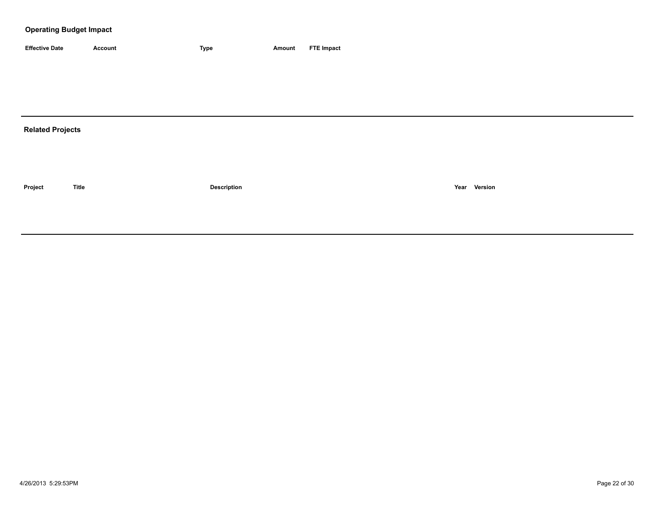| <b>Effective Date</b> | Account | <b>Type</b> | Amount | <b>FTE Impact</b> |
|-----------------------|---------|-------------|--------|-------------------|

## **Related Projects**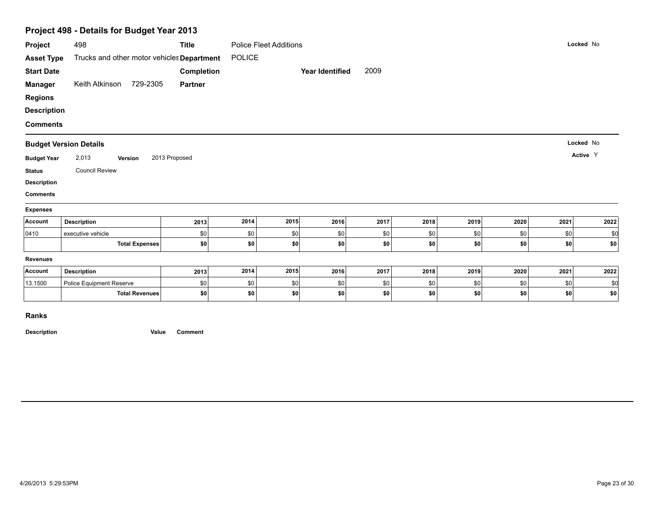|                    | Project 498 - Details for Budget Year 2013 |                |               |                               |                        |      |      |      |      |      |           |
|--------------------|--------------------------------------------|----------------|---------------|-------------------------------|------------------------|------|------|------|------|------|-----------|
| Project            | 498                                        | <b>Title</b>   |               | <b>Police Fleet Additions</b> |                        |      |      |      |      |      | Locked No |
| <b>Asset Type</b>  | Trucks and other motor vehicles Department |                | <b>POLICE</b> |                               |                        |      |      |      |      |      |           |
| <b>Start Date</b>  |                                            | Completion     |               |                               | <b>Year Identified</b> | 2009 |      |      |      |      |           |
| <b>Manager</b>     | Keith Atkinson 729-2305                    | <b>Partner</b> |               |                               |                        |      |      |      |      |      |           |
| <b>Regions</b>     |                                            |                |               |                               |                        |      |      |      |      |      |           |
| <b>Description</b> |                                            |                |               |                               |                        |      |      |      |      |      |           |
| <b>Comments</b>    |                                            |                |               |                               |                        |      |      |      |      |      |           |
|                    | <b>Budget Version Details</b>              |                |               |                               |                        |      |      |      |      |      | Locked No |
| <b>Budget Year</b> | 2,013<br>Version                           | 2013 Proposed  |               |                               |                        |      |      |      |      |      | Active Y  |
| <b>Status</b>      | <b>Council Review</b>                      |                |               |                               |                        |      |      |      |      |      |           |
| <b>Description</b> |                                            |                |               |                               |                        |      |      |      |      |      |           |
| <b>Comments</b>    |                                            |                |               |                               |                        |      |      |      |      |      |           |
| <b>Expenses</b>    |                                            |                |               |                               |                        |      |      |      |      |      |           |
| Account            | <b>Description</b>                         | 2013           | 2014          | 2015                          | 2016                   | 2017 | 2018 | 2019 | 2020 | 2021 | 2022      |
| 0410               | executive vehicle                          | \$0            | \$0           | \$0                           | \$0                    | \$0  | \$0  | \$0  | \$0  | \$0  | \$0       |
|                    | <b>Total Expenses</b>                      | \$0            | \$0           | \$0                           | \$0                    | -\$0 | \$0  | \$0  | \$0  | \$0  | \$0       |
| Revenues           |                                            |                |               |                               |                        |      |      |      |      |      |           |
| Account            | <b>Description</b>                         | 2013           | 2014          | 2015                          | 2016                   | 2017 | 2018 | 2019 | 2020 | 2021 | 2022      |
| 13.1500            | Police Equipment Reserve                   | \$0            | \$0           | \$0                           | \$0                    | \$0  | \$0  | \$0  | \$0  | \$0  | \$0       |
|                    | <b>Total Revenues</b>                      | \$0            | \$0           | \$0                           | \$0                    | -\$0 | \$0  | \$0  | \$0  | \$0  | \$0       |
|                    |                                            |                |               |                               |                        |      |      |      |      |      |           |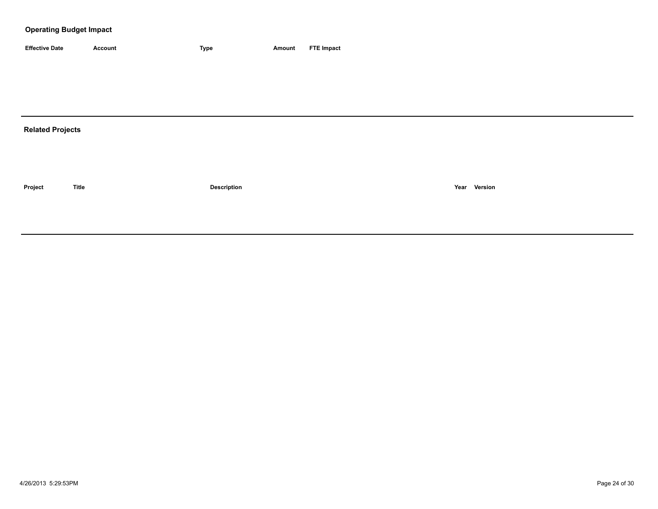| <b>Effective Date</b> | Account | <b>Type</b> | Amount | <b>FTE Impact</b> |
|-----------------------|---------|-------------|--------|-------------------|

## **Related Projects**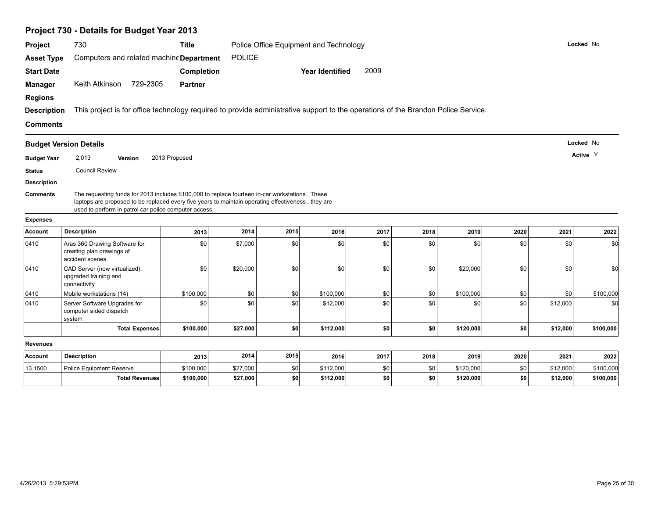|                    | Project 730 - Details for Budget Year 2013                                                                                                                                                                                                                     |                   |               |      |                                        |      |      |           |      |          |           |
|--------------------|----------------------------------------------------------------------------------------------------------------------------------------------------------------------------------------------------------------------------------------------------------------|-------------------|---------------|------|----------------------------------------|------|------|-----------|------|----------|-----------|
| Project            | 730                                                                                                                                                                                                                                                            | <b>Title</b>      |               |      | Police Office Equipment and Technology |      |      |           |      |          | Locked No |
| <b>Asset Type</b>  | Computers and related machine Department                                                                                                                                                                                                                       |                   | <b>POLICE</b> |      |                                        |      |      |           |      |          |           |
| <b>Start Date</b>  |                                                                                                                                                                                                                                                                | <b>Completion</b> |               |      | <b>Year Identified</b>                 | 2009 |      |           |      |          |           |
| <b>Manager</b>     | 729-2305<br>Keith Atkinson                                                                                                                                                                                                                                     | <b>Partner</b>    |               |      |                                        |      |      |           |      |          |           |
| <b>Regions</b>     |                                                                                                                                                                                                                                                                |                   |               |      |                                        |      |      |           |      |          |           |
| <b>Description</b> | This project is for office technology required to provide administrative support to the operations of the Brandon Police Service.                                                                                                                              |                   |               |      |                                        |      |      |           |      |          |           |
| <b>Comments</b>    |                                                                                                                                                                                                                                                                |                   |               |      |                                        |      |      |           |      |          |           |
|                    | <b>Budget Version Details</b>                                                                                                                                                                                                                                  |                   |               |      |                                        |      |      |           |      |          | Locked No |
| <b>Budget Year</b> | 2,013<br>Version                                                                                                                                                                                                                                               | 2013 Proposed     |               |      |                                        |      |      |           |      |          | Active Y  |
| <b>Status</b>      | <b>Council Review</b>                                                                                                                                                                                                                                          |                   |               |      |                                        |      |      |           |      |          |           |
| <b>Description</b> |                                                                                                                                                                                                                                                                |                   |               |      |                                        |      |      |           |      |          |           |
| <b>Comments</b>    | The requesting funds for 2013 includes \$100,000 to replace fourteen in-car workstations. These<br>laptops are proposed to be replaced every five years to maintain operating effectiveness, they are<br>used to perform in patrol car police computer access. |                   |               |      |                                        |      |      |           |      |          |           |
| <b>Expenses</b>    |                                                                                                                                                                                                                                                                |                   |               |      |                                        |      |      |           |      |          |           |
| <b>Account</b>     | <b>Description</b>                                                                                                                                                                                                                                             | 2013              | 2014          | 2015 | 2016                                   | 2017 | 2018 | 2019      | 2020 | 2021     | 2022      |
| 0410               | Aras 360 Drawing Software for<br>creating plan drawings of<br>accident scenes                                                                                                                                                                                  | \$0               | \$7,000       | \$0  | \$0                                    | \$0  | \$0  | \$0       | \$0  | \$0      | \$0       |
| 0410               | CAD Server (now virtualized),<br>upgraded training and<br>connectivity                                                                                                                                                                                         | \$0               | \$20,000      | \$0  | \$0                                    | \$0  | \$0  | \$20,000  | \$0  | \$0      | \$0       |
| 0410               | Mobile workstations (14)                                                                                                                                                                                                                                       | \$100,000         | \$0           | \$0  | \$100,000                              | \$0  | \$0  | \$100,000 | \$0  | \$0      | \$100,000 |
| 0410               | Server Software Upgrades for<br>computer aided dispatch<br>system                                                                                                                                                                                              | \$0               | \$0           | \$0  | \$12,000                               | \$0  | \$0  | \$0       | \$0  | \$12,000 | \$0       |
|                    | <b>Total Expenses</b>                                                                                                                                                                                                                                          | \$100,000         | \$27,000      | sol  | \$112,000                              | \$0  | \$0  | \$120,000 | \$0  | \$12,000 | \$100,000 |
| <b>Revenues</b>    |                                                                                                                                                                                                                                                                |                   |               |      |                                        |      |      |           |      |          |           |
| <b>Account</b>     | <b>Description</b>                                                                                                                                                                                                                                             | 2013              | 2014          | 2015 | 2016                                   | 2017 | 2018 | 2019      | 2020 | 2021     | 2022      |
| 13.1500            | <b>Police Equipment Reserve</b>                                                                                                                                                                                                                                | \$100,000         | \$27,000      | \$0  | \$112,000                              | \$0  | \$0  | \$120,000 | \$0  | \$12,000 | \$100,000 |
|                    | <b>Total Revenues</b>                                                                                                                                                                                                                                          | \$100,000         | \$27,000      | \$0  | \$112,000                              | \$0  | \$0  | \$120,000 | \$0  | \$12,000 | \$100,000 |
|                    |                                                                                                                                                                                                                                                                |                   |               |      |                                        |      |      |           |      |          |           |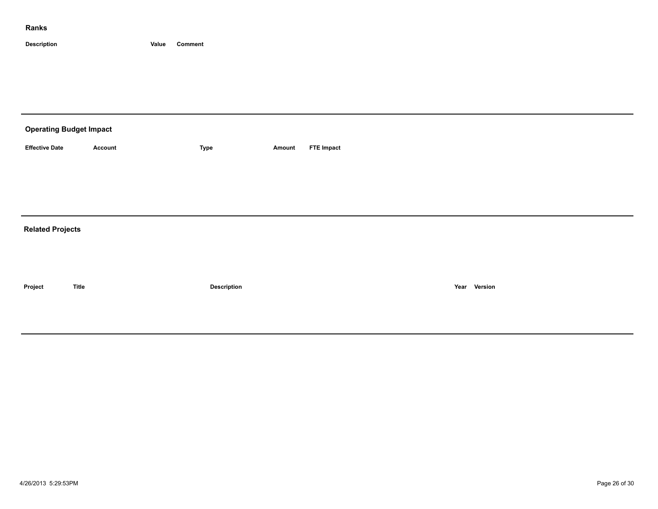| <b>Operating Budget Impact</b> |                |                    |        |                   |              |  |
|--------------------------------|----------------|--------------------|--------|-------------------|--------------|--|
| <b>Effective Date</b>          | <b>Account</b> | Type               | Amount | <b>FTE Impact</b> |              |  |
|                                |                |                    |        |                   |              |  |
|                                |                |                    |        |                   |              |  |
|                                |                |                    |        |                   |              |  |
| <b>Related Projects</b>        |                |                    |        |                   |              |  |
|                                |                |                    |        |                   |              |  |
|                                |                |                    |        |                   |              |  |
| Project                        | <b>Title</b>   | <b>Description</b> |        |                   | Year Version |  |
|                                |                |                    |        |                   |              |  |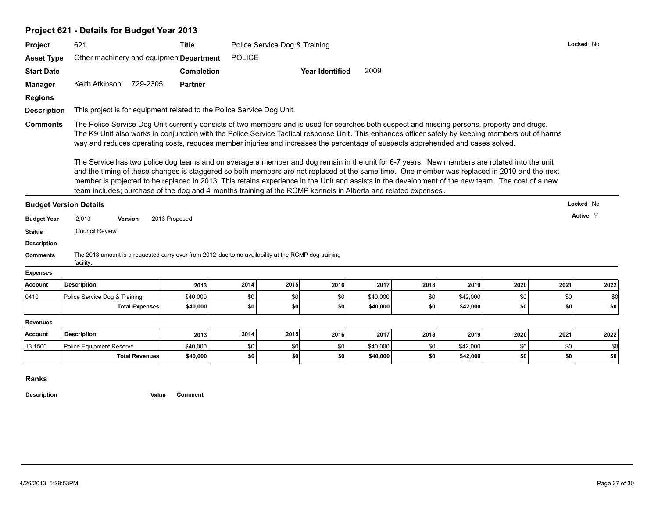## **Project 621 - Details for Budget Year 2013**

| Project                                                                                                                               | 621                                                                                                                                                                                                                                                                                                                                                                                                                                                                                                                                                                | <b>Title</b>      |               | Police Service Dog & Training |                        |          |      |          |      |      | Locked No |
|---------------------------------------------------------------------------------------------------------------------------------------|--------------------------------------------------------------------------------------------------------------------------------------------------------------------------------------------------------------------------------------------------------------------------------------------------------------------------------------------------------------------------------------------------------------------------------------------------------------------------------------------------------------------------------------------------------------------|-------------------|---------------|-------------------------------|------------------------|----------|------|----------|------|------|-----------|
| <b>Asset Type</b>                                                                                                                     | Other machinery and equipmen Department                                                                                                                                                                                                                                                                                                                                                                                                                                                                                                                            |                   | <b>POLICE</b> |                               |                        |          |      |          |      |      |           |
| <b>Start Date</b>                                                                                                                     |                                                                                                                                                                                                                                                                                                                                                                                                                                                                                                                                                                    | <b>Completion</b> |               |                               | <b>Year Identified</b> | 2009     |      |          |      |      |           |
| <b>Manager</b>                                                                                                                        | Keith Atkinson<br>729-2305                                                                                                                                                                                                                                                                                                                                                                                                                                                                                                                                         | <b>Partner</b>    |               |                               |                        |          |      |          |      |      |           |
| <b>Regions</b>                                                                                                                        |                                                                                                                                                                                                                                                                                                                                                                                                                                                                                                                                                                    |                   |               |                               |                        |          |      |          |      |      |           |
| <b>Description</b>                                                                                                                    | This project is for equipment related to the Police Service Dog Unit.                                                                                                                                                                                                                                                                                                                                                                                                                                                                                              |                   |               |                               |                        |          |      |          |      |      |           |
| <b>Comments</b>                                                                                                                       | The Police Service Dog Unit currently consists of two members and is used for searches both suspect and missing persons, property and drugs.<br>The K9 Unit also works in conjunction with the Police Service Tactical response Unit. This enhances officer safety by keeping members out of harms<br>way and reduces operating costs, reduces member injuries and increases the percentage of suspects apprehended and cases solved.                                                                                                                              |                   |               |                               |                        |          |      |          |      |      |           |
|                                                                                                                                       | The Service has two police dog teams and on average a member and dog remain in the unit for 6-7 years. New members are rotated into the unit<br>and the timing of these changes is staggered so both members are not replaced at the same time. One member was replaced in 2010 and the next<br>member is projected to be replaced in 2013. This retains experience in the Unit and assists in the development of the new team. The cost of a new<br>team includes; purchase of the dog and 4 months training at the RCMP kennels in Alberta and related expenses. |                   |               |                               |                        |          |      |          |      |      |           |
|                                                                                                                                       | <b>Budget Version Details</b>                                                                                                                                                                                                                                                                                                                                                                                                                                                                                                                                      |                   |               |                               |                        |          |      |          |      |      | Locked No |
| <b>Budget Year</b>                                                                                                                    | 2,013<br><b>Version</b>                                                                                                                                                                                                                                                                                                                                                                                                                                                                                                                                            | 2013 Proposed     |               |                               |                        |          |      |          |      |      | Active Y  |
|                                                                                                                                       | <b>Council Review</b>                                                                                                                                                                                                                                                                                                                                                                                                                                                                                                                                              |                   |               |                               |                        |          |      |          |      |      |           |
|                                                                                                                                       |                                                                                                                                                                                                                                                                                                                                                                                                                                                                                                                                                                    |                   |               |                               |                        |          |      |          |      |      |           |
|                                                                                                                                       |                                                                                                                                                                                                                                                                                                                                                                                                                                                                                                                                                                    |                   |               |                               |                        |          |      |          |      |      |           |
|                                                                                                                                       | The 2013 amount is a requested carry over from 2012 due to no availability at the RCMP dog training<br>facility.                                                                                                                                                                                                                                                                                                                                                                                                                                                   |                   |               |                               |                        |          |      |          |      |      |           |
|                                                                                                                                       |                                                                                                                                                                                                                                                                                                                                                                                                                                                                                                                                                                    |                   |               |                               |                        |          |      |          |      |      |           |
|                                                                                                                                       | <b>Description</b>                                                                                                                                                                                                                                                                                                                                                                                                                                                                                                                                                 | 2013              | 2014          | 2015                          | 2016                   | 2017     | 2018 | 2019     | 2020 | 2021 | 2022      |
|                                                                                                                                       | Police Service Dog & Training                                                                                                                                                                                                                                                                                                                                                                                                                                                                                                                                      | \$40,000          | \$0           | \$0                           | \$0                    | \$40,000 | \$0  | \$42,000 | \$0  | \$0  | \$0       |
|                                                                                                                                       | <b>Total Expenses</b>                                                                                                                                                                                                                                                                                                                                                                                                                                                                                                                                              | \$40,000          | \$0           | \$0                           | \$0                    | \$40,000 | \$0  | \$42,000 | \$0  | \$0  | \$0       |
|                                                                                                                                       |                                                                                                                                                                                                                                                                                                                                                                                                                                                                                                                                                                    |                   |               |                               |                        |          |      |          |      |      |           |
|                                                                                                                                       | <b>Description</b>                                                                                                                                                                                                                                                                                                                                                                                                                                                                                                                                                 | 2013              | 2014          | 2015                          | 2016                   | 2017     | 2018 | 2019     | 2020 | 2021 | 2022      |
| <b>Status</b><br><b>Description</b><br><b>Comments</b><br><b>Expenses</b><br>Account<br>0410<br><b>Revenues</b><br>Account<br>13.1500 | <b>Police Equipment Reserve</b>                                                                                                                                                                                                                                                                                                                                                                                                                                                                                                                                    | \$40,000          | \$0           | \$0                           | \$0                    | \$40,000 | \$0  | \$42,000 | \$0  | \$0  | \$0       |

**Ranks**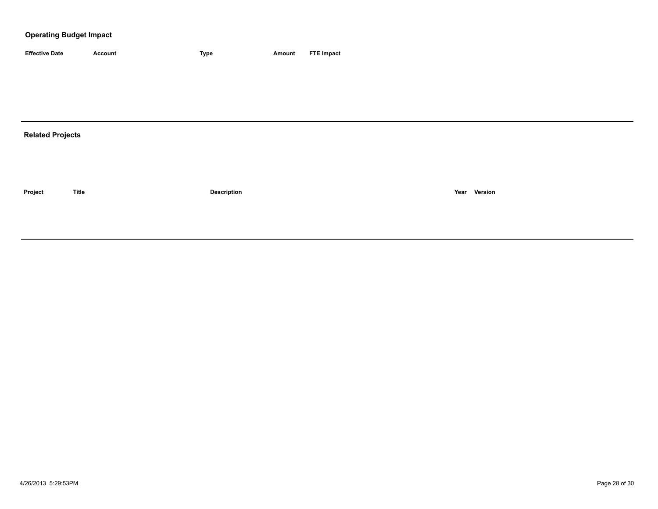| <b>Effective Date</b>   | <b>Account</b> | <b>Type</b>        | <b>Amount</b> | <b>FTE Impact</b> |
|-------------------------|----------------|--------------------|---------------|-------------------|
|                         |                |                    |               |                   |
|                         |                |                    |               |                   |
|                         |                |                    |               |                   |
|                         |                |                    |               |                   |
| <b>Related Projects</b> |                |                    |               |                   |
|                         |                |                    |               |                   |
|                         |                |                    |               |                   |
|                         |                |                    |               |                   |
| Project                 | <b>Title</b>   | <b>Description</b> |               | Year Version      |
|                         |                |                    |               |                   |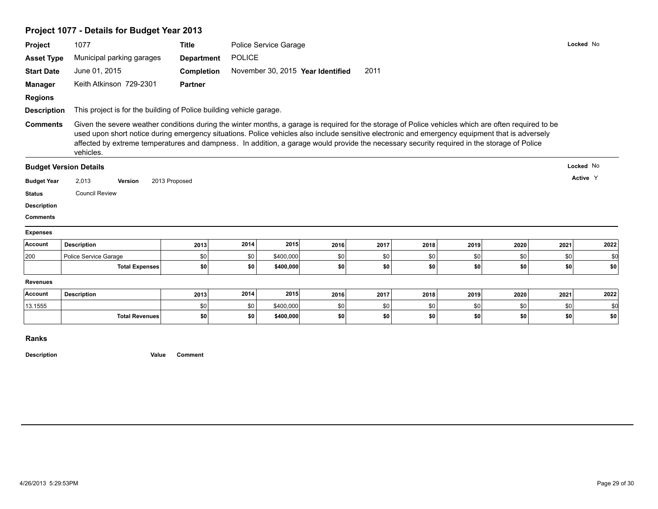|                                                                                             | Project 1077 - Details for Budget Year 2013                                                                                                                                                                                                                                                                                                                                                                                                                         |                   |               |                                   |      |      |      |      |      |           |          |
|---------------------------------------------------------------------------------------------|---------------------------------------------------------------------------------------------------------------------------------------------------------------------------------------------------------------------------------------------------------------------------------------------------------------------------------------------------------------------------------------------------------------------------------------------------------------------|-------------------|---------------|-----------------------------------|------|------|------|------|------|-----------|----------|
| Project                                                                                     | 1077                                                                                                                                                                                                                                                                                                                                                                                                                                                                | <b>Title</b>      |               | Police Service Garage             |      |      |      |      |      | Locked No |          |
| <b>Asset Type</b>                                                                           | Municipal parking garages                                                                                                                                                                                                                                                                                                                                                                                                                                           | <b>Department</b> | <b>POLICE</b> |                                   |      |      |      |      |      |           |          |
| <b>Start Date</b>                                                                           | June 01, 2015                                                                                                                                                                                                                                                                                                                                                                                                                                                       | <b>Completion</b> |               | November 30, 2015 Year Identified |      | 2011 |      |      |      |           |          |
| <b>Manager</b>                                                                              | Keith Atkinson 729-2301                                                                                                                                                                                                                                                                                                                                                                                                                                             | <b>Partner</b>    |               |                                   |      |      |      |      |      |           |          |
| <b>Regions</b>                                                                              |                                                                                                                                                                                                                                                                                                                                                                                                                                                                     |                   |               |                                   |      |      |      |      |      |           |          |
| <b>Description</b>                                                                          | This project is for the building of Police building vehicle garage.                                                                                                                                                                                                                                                                                                                                                                                                 |                   |               |                                   |      |      |      |      |      |           |          |
| <b>Comments</b>                                                                             | Given the severe weather conditions during the winter months, a garage is required for the storage of Police vehicles which are often required to be<br>used upon short notice during emergency situations. Police vehicles also include sensitive electronic and emergency equipment that is adversely<br>affected by extreme temperatures and dampness. In addition, a garage would provide the necessary security required in the storage of Police<br>vehicles. |                   |               |                                   |      |      |      |      |      |           |          |
|                                                                                             | <b>Budget Version Details</b>                                                                                                                                                                                                                                                                                                                                                                                                                                       |                   |               |                                   |      |      |      |      |      | Locked No |          |
| <b>Budget Year</b>                                                                          | 2,013<br>Version                                                                                                                                                                                                                                                                                                                                                                                                                                                    | 2013 Proposed     |               |                                   |      |      |      |      |      |           | Active Y |
|                                                                                             |                                                                                                                                                                                                                                                                                                                                                                                                                                                                     |                   |               |                                   |      |      |      |      |      |           |          |
|                                                                                             | <b>Council Review</b>                                                                                                                                                                                                                                                                                                                                                                                                                                               |                   |               |                                   |      |      |      |      |      |           |          |
|                                                                                             |                                                                                                                                                                                                                                                                                                                                                                                                                                                                     |                   |               |                                   |      |      |      |      |      |           |          |
|                                                                                             |                                                                                                                                                                                                                                                                                                                                                                                                                                                                     |                   |               |                                   |      |      |      |      |      |           |          |
|                                                                                             |                                                                                                                                                                                                                                                                                                                                                                                                                                                                     |                   |               |                                   |      |      |      |      |      |           |          |
|                                                                                             | <b>Description</b>                                                                                                                                                                                                                                                                                                                                                                                                                                                  | 2013              | 2014          | 2015                              | 2016 | 2017 | 2018 | 2019 | 2020 | 2021      | 2022     |
| <b>Status</b><br><b>Description</b><br><b>Comments</b><br><b>Expenses</b><br>Account<br>200 | Police Service Garage                                                                                                                                                                                                                                                                                                                                                                                                                                               | \$0               | \$0           | \$400,000                         | \$0  | \$0  | \$0  | \$0  | \$0  | \$0       | \$0      |
|                                                                                             | <b>Total Expenses</b>                                                                                                                                                                                                                                                                                                                                                                                                                                               | \$0               | \$0           | \$400,000                         | \$0  | -\$0 | \$0  | \$0  | \$0  | -\$0      | \$0      |
| <b>Revenues</b>                                                                             |                                                                                                                                                                                                                                                                                                                                                                                                                                                                     |                   |               |                                   |      |      |      |      |      |           |          |
| Account                                                                                     | <b>Description</b>                                                                                                                                                                                                                                                                                                                                                                                                                                                  | 2013              | 2014          | 2015                              | 2016 | 2017 | 2018 | 2019 | 2020 | 2021      | 2022     |
| 13.1555                                                                                     |                                                                                                                                                                                                                                                                                                                                                                                                                                                                     | \$0               | \$0           | \$400,000                         | \$0  | \$0  | \$0  | \$0  | \$0  | \$0       | \$0      |